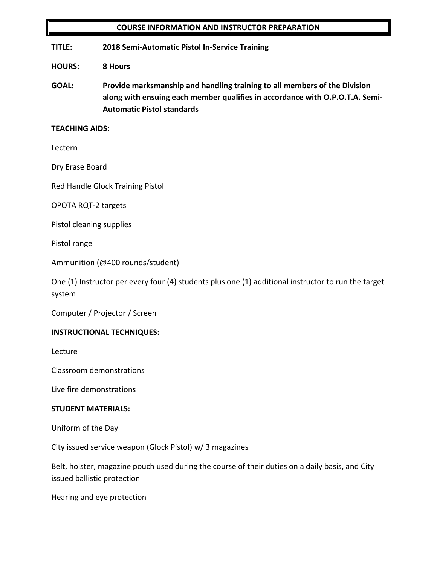#### **COURSE INFORMATION AND INSTRUCTOR PREPARATION**

**TITLE: 2018 Semi-Automatic Pistol In-Service Training**

**HOURS: 8 Hours**

**GOAL: Provide marksmanship and handling training to all members of the Division along with ensuing each member qualifies in accordance with O.P.O.T.A. Semi-Automatic Pistol standards**

#### **TEACHING AIDS:**

Lectern

Dry Erase Board

Red Handle Glock Training Pistol

OPOTA RQT-2 targets

Pistol cleaning supplies

Pistol range

Ammunition (@400 rounds/student)

One (1) Instructor per every four (4) students plus one (1) additional instructor to run the target system

Computer / Projector / Screen

#### **INSTRUCTIONAL TECHNIQUES:**

Lecture

Classroom demonstrations

Live fire demonstrations

#### **STUDENT MATERIALS:**

Uniform of the Day

City issued service weapon (Glock Pistol) w/ 3 magazines

Belt, holster, magazine pouch used during the course of their duties on a daily basis, and City issued ballistic protection

Hearing and eye protection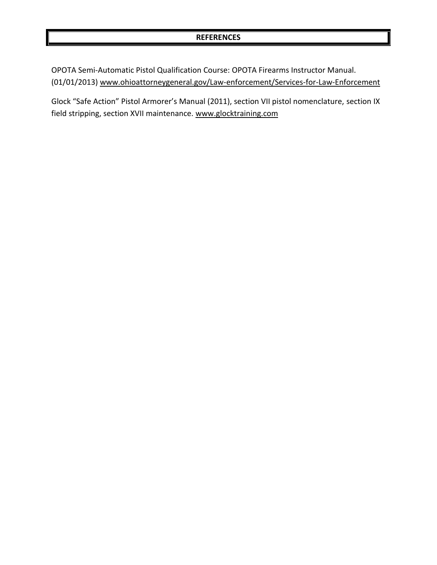#### **REFERENCES**

OPOTA Semi-Automatic Pistol Qualification Course: OPOTA Firearms Instructor Manual. (01/01/2013) [www.ohioattorneygeneral.gov/Law-enforcement/Services-for-Law-Enforcement](http://www.ohioattorneygeneral.gov/Law-enforcement/Services-for-Law-Enforcement)

Glock "Safe Action" Pistol Armorer's Manual (2011), section VII pistol nomenclature, section IX field stripping, section XVII maintenance. [www.glocktraining.com](http://www.glocktraining.com/)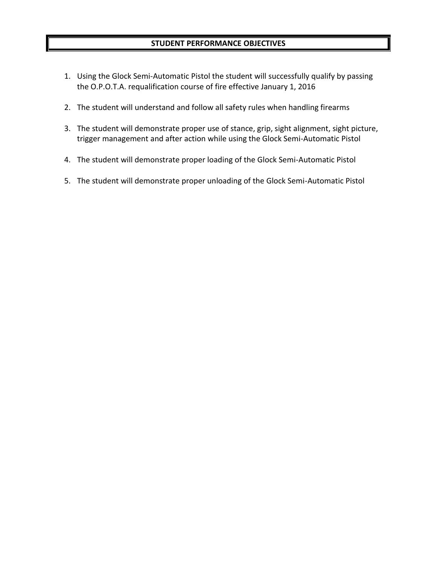#### **STUDENT PERFORMANCE OBJECTIVES**

- 1. Using the Glock Semi-Automatic Pistol the student will successfully qualify by passing the O.P.O.T.A. requalification course of fire effective January 1, 2016
- 2. The student will understand and follow all safety rules when handling firearms
- 3. The student will demonstrate proper use of stance, grip, sight alignment, sight picture, trigger management and after action while using the Glock Semi-Automatic Pistol
- 4. The student will demonstrate proper loading of the Glock Semi-Automatic Pistol
- 5. The student will demonstrate proper unloading of the Glock Semi-Automatic Pistol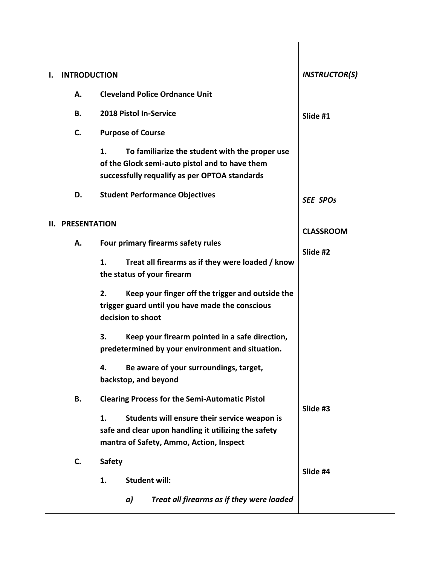| ı. | <b>INTRODUCTION</b>     |                                                                                                                                                                                                                                                                                            | <b>INSTRUCTOR(S)</b> |  |
|----|-------------------------|--------------------------------------------------------------------------------------------------------------------------------------------------------------------------------------------------------------------------------------------------------------------------------------------|----------------------|--|
|    | А.                      | <b>Cleveland Police Ordnance Unit</b>                                                                                                                                                                                                                                                      |                      |  |
|    | В.                      | 2018 Pistol In-Service                                                                                                                                                                                                                                                                     | Slide #1             |  |
|    | C.                      | <b>Purpose of Course</b>                                                                                                                                                                                                                                                                   |                      |  |
|    |                         | 1.<br>To familiarize the student with the proper use<br>of the Glock semi-auto pistol and to have them<br>successfully requalify as per OPTOA standards                                                                                                                                    |                      |  |
|    | D.                      | <b>Student Performance Objectives</b>                                                                                                                                                                                                                                                      | <b>SEE SPOs</b>      |  |
|    | <b>II. PRESENTATION</b> |                                                                                                                                                                                                                                                                                            | <b>CLASSROOM</b>     |  |
|    | А.                      | Four primary firearms safety rules                                                                                                                                                                                                                                                         | Slide #2             |  |
|    |                         | Treat all firearms as if they were loaded / know<br>1.<br>the status of your firearm                                                                                                                                                                                                       |                      |  |
|    |                         | Keep your finger off the trigger and outside the<br>2.<br>trigger guard until you have made the conscious<br>decision to shoot<br>3.<br>Keep your firearm pointed in a safe direction,<br>predetermined by your environment and situation.<br>Be aware of your surroundings, target,<br>4. |                      |  |
|    |                         | backstop, and beyond                                                                                                                                                                                                                                                                       |                      |  |
|    | В.                      | <b>Clearing Process for the Semi-Automatic Pistol</b>                                                                                                                                                                                                                                      | Slide #3             |  |
|    |                         | Students will ensure their service weapon is<br>1.<br>safe and clear upon handling it utilizing the safety<br>mantra of Safety, Ammo, Action, Inspect                                                                                                                                      |                      |  |
|    | C.                      | <b>Safety</b>                                                                                                                                                                                                                                                                              | Slide #4             |  |
|    |                         | <b>Student will:</b><br>1.                                                                                                                                                                                                                                                                 |                      |  |
|    |                         | Treat all firearms as if they were loaded<br>a)                                                                                                                                                                                                                                            |                      |  |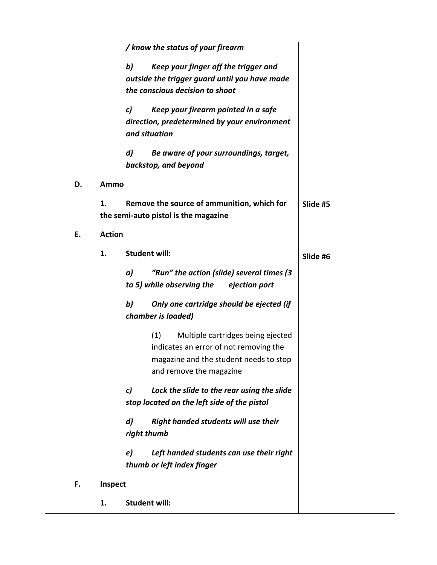|    |               | / know the status of your firearm                           |          |
|----|---------------|-------------------------------------------------------------|----------|
|    |               | b)<br>Keep your finger off the trigger and                  |          |
|    |               | outside the trigger guard until you have made               |          |
|    |               | the conscious decision to shoot                             |          |
|    |               | Keep your firearm pointed in a safe<br>$\mathcal{C}$        |          |
|    |               | direction, predetermined by your environment                |          |
|    |               | and situation                                               |          |
|    |               | $\boldsymbol{d}$<br>Be aware of your surroundings, target,  |          |
|    |               | backstop, and beyond                                        |          |
| D. | Ammo          |                                                             |          |
|    | 1.            | Remove the source of ammunition, which for                  | Slide #5 |
|    |               | the semi-auto pistol is the magazine                        |          |
| E. | <b>Action</b> |                                                             |          |
|    | 1.            | <b>Student will:</b>                                        | Slide #6 |
|    |               | "Run" the action (slide) several times (3<br>a)             |          |
|    |               | to 5) while observing the<br>ejection port                  |          |
|    |               | b)<br>Only one cartridge should be ejected (if              |          |
|    |               | chamber is loaded)                                          |          |
|    |               | (1)<br>Multiple cartridges being ejected                    |          |
|    |               | indicates an error of not removing the                      |          |
|    |               | magazine and the student needs to stop                      |          |
|    |               | and remove the magazine                                     |          |
|    |               | $\mathcal{C}$<br>Lock the slide to the rear using the slide |          |
|    |               | stop located on the left side of the pistol                 |          |
|    |               | $\boldsymbol{d}$<br>Right handed students will use their    |          |
|    |               | right thumb                                                 |          |
|    |               | Left handed students can use their right<br>e)              |          |
|    |               | thumb or left index finger                                  |          |
| F. | Inspect       |                                                             |          |
|    | 1.            | <b>Student will:</b>                                        |          |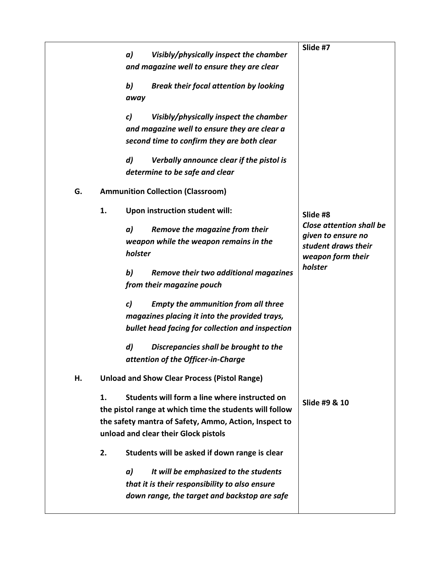|    | a)<br>Visibly/physically inspect the chamber                 | Slide #7                                    |
|----|--------------------------------------------------------------|---------------------------------------------|
|    | and magazine well to ensure they are clear                   |                                             |
|    |                                                              |                                             |
|    | b)<br><b>Break their focal attention by looking</b>          |                                             |
|    | away                                                         |                                             |
|    | Visibly/physically inspect the chamber<br>c)                 |                                             |
|    | and magazine well to ensure they are clear a                 |                                             |
|    | second time to confirm they are both clear                   |                                             |
|    | $\boldsymbol{d}$<br>Verbally announce clear if the pistol is |                                             |
|    | determine to be safe and clear                               |                                             |
|    |                                                              |                                             |
| G. | <b>Ammunition Collection (Classroom)</b>                     |                                             |
|    | 1.<br>Upon instruction student will:                         |                                             |
|    |                                                              | Slide #8<br><b>Close attention shall be</b> |
|    | a)<br>Remove the magazine from their                         | given to ensure no                          |
|    | weapon while the weapon remains in the                       | student draws their                         |
|    | holster                                                      | weapon form their                           |
|    | b)<br>Remove their two additional magazines                  | holster                                     |
|    | from their magazine pouch                                    |                                             |
|    |                                                              |                                             |
|    | c)<br><b>Empty the ammunition from all three</b>             |                                             |
|    | magazines placing it into the provided trays,                |                                             |
|    | bullet head facing for collection and inspection             |                                             |
|    | $\boldsymbol{d}$<br>Discrepancies shall be brought to the    |                                             |
|    | attention of the Officer-in-Charge                           |                                             |
| н. | <b>Unload and Show Clear Process (Pistol Range)</b>          |                                             |
|    | Students will form a line where instructed on<br>1.          |                                             |
|    | the pistol range at which time the students will follow      | Slide #9 & 10                               |
|    | the safety mantra of Safety, Ammo, Action, Inspect to        |                                             |
|    | unload and clear their Glock pistols                         |                                             |
|    | Students will be asked if down range is clear<br>2.          |                                             |
|    | It will be emphasized to the students<br>a)                  |                                             |
|    | that it is their responsibility to also ensure               |                                             |
|    | down range, the target and backstop are safe                 |                                             |
|    |                                                              |                                             |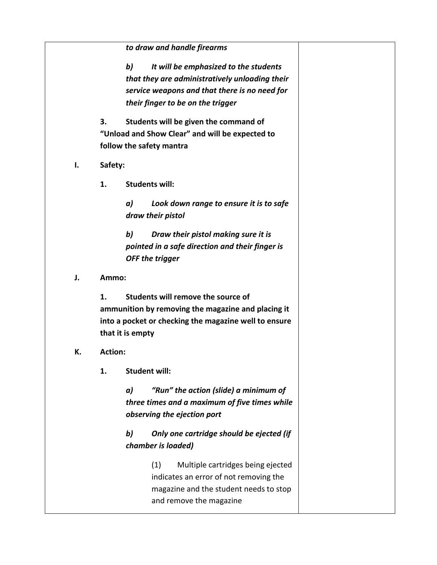|    |                | to draw and handle firearms                                                                                                                                                         |  |
|----|----------------|-------------------------------------------------------------------------------------------------------------------------------------------------------------------------------------|--|
|    |                | b)<br>It will be emphasized to the students<br>that they are administratively unloading their<br>service weapons and that there is no need for<br>their finger to be on the trigger |  |
|    | 3.             | Students will be given the command of<br>"Unload and Show Clear" and will be expected to<br>follow the safety mantra                                                                |  |
| Ι. | Safety:        |                                                                                                                                                                                     |  |
|    | 1.             | <b>Students will:</b>                                                                                                                                                               |  |
|    |                | a)<br>Look down range to ensure it is to safe<br>draw their pistol                                                                                                                  |  |
|    |                | b)<br>Draw their pistol making sure it is<br>pointed in a safe direction and their finger is<br>OFF the trigger                                                                     |  |
| J. | Ammo:          |                                                                                                                                                                                     |  |
|    | 1.             | Students will remove the source of<br>ammunition by removing the magazine and placing it<br>into a pocket or checking the magazine well to ensure<br>that it is empty               |  |
| К. | <b>Action:</b> |                                                                                                                                                                                     |  |
|    | 1.             | <b>Student will:</b>                                                                                                                                                                |  |
|    |                | "Run" the action (slide) a minimum of<br>a)<br>three times and a maximum of five times while<br>observing the ejection port                                                         |  |
|    |                | b)<br>Only one cartridge should be ejected (if<br>chamber is loaded)                                                                                                                |  |
|    |                | Multiple cartridges being ejected<br>(1)<br>indicates an error of not removing the<br>magazine and the student needs to stop<br>and remove the magazine                             |  |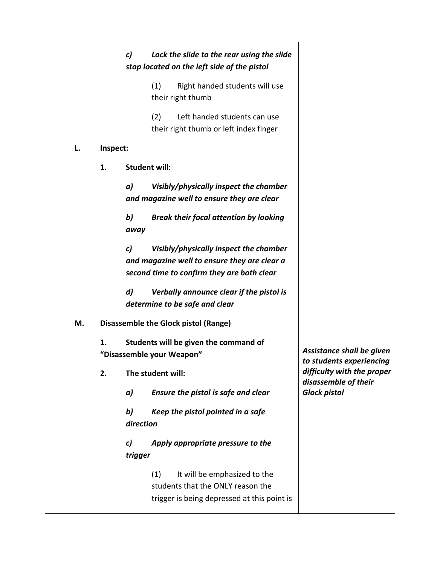|    |          | c)<br>Lock the slide to the rear using the slide<br>stop located on the left side of the pistol                                            |                                                       |
|----|----------|--------------------------------------------------------------------------------------------------------------------------------------------|-------------------------------------------------------|
|    |          | Right handed students will use<br>(1)<br>their right thumb                                                                                 |                                                       |
|    |          | (2)<br>Left handed students can use<br>their right thumb or left index finger                                                              |                                                       |
| L. | Inspect: |                                                                                                                                            |                                                       |
|    | 1.       | <b>Student will:</b>                                                                                                                       |                                                       |
|    |          | a)<br>Visibly/physically inspect the chamber<br>and magazine well to ensure they are clear                                                 |                                                       |
|    |          | b)<br><b>Break their focal attention by looking</b><br>away                                                                                |                                                       |
|    |          | c)<br>Visibly/physically inspect the chamber<br>and magazine well to ensure they are clear a<br>second time to confirm they are both clear |                                                       |
|    |          | $\boldsymbol{d}$<br>Verbally announce clear if the pistol is<br>determine to be safe and clear                                             |                                                       |
| М. |          | <b>Disassemble the Glock pistol (Range)</b>                                                                                                |                                                       |
|    | 1.       | Students will be given the command of<br>"Disassemble your Weapon"                                                                         | Assistance shall be given<br>to students experiencing |
|    | 2.       | The student will:                                                                                                                          | difficulty with the proper<br>disassemble of their    |
|    |          | a)<br>Ensure the pistol is safe and clear                                                                                                  | <b>Glock pistol</b>                                   |
|    |          | b)<br>Keep the pistol pointed in a safe<br>direction                                                                                       |                                                       |
|    |          | Apply appropriate pressure to the<br>c)<br>trigger                                                                                         |                                                       |
|    |          | It will be emphasized to the<br>(1)<br>students that the ONLY reason the<br>trigger is being depressed at this point is                    |                                                       |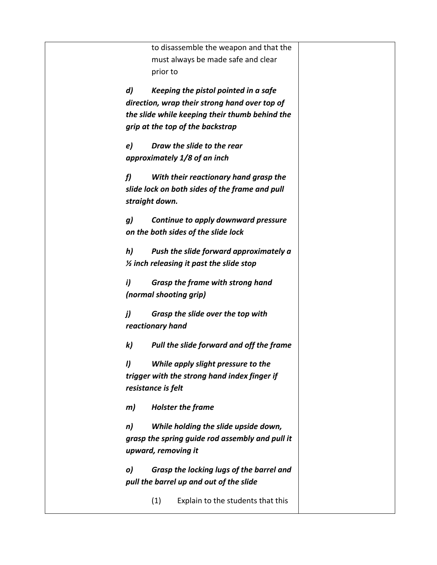to disassemble the weapon and that the must always be made safe and clear prior to *d) Keeping the pistol pointed in a safe direction, wrap their strong hand over top of the slide while keeping their thumb behind the grip at the top of the backstrap e) Draw the slide to the rear approximately 1/8 of an inch f) With their reactionary hand grasp the slide lock on both sides of the frame and pull straight down. g) Continue to apply downward pressure on the both sides of the slide lock h) Push the slide forward approximately a ½ inch releasing it past the slide stop i) Grasp the frame with strong hand (normal shooting grip) j) Grasp the slide over the top with reactionary hand k) Pull the slide forward and off the frame l) While apply slight pressure to the trigger with the strong hand index finger if resistance is felt m) Holster the frame n) While holding the slide upside down, grasp the spring guide rod assembly and pull it upward, removing it o) Grasp the locking lugs of the barrel and pull the barrel up and out of the slide* (1) Explain to the students that this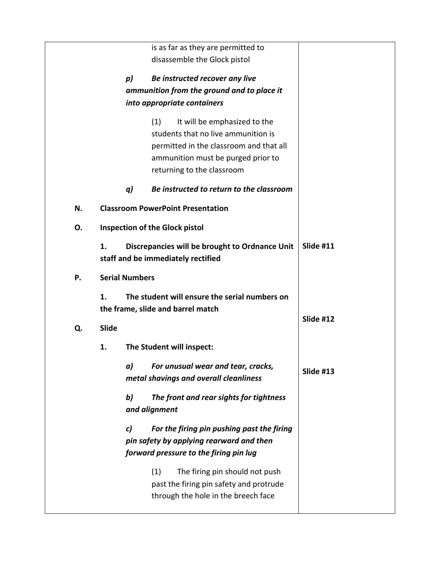|    |                       | is as far as they are permitted to                                                                                               |           |
|----|-----------------------|----------------------------------------------------------------------------------------------------------------------------------|-----------|
|    |                       | disassemble the Glock pistol                                                                                                     |           |
|    |                       |                                                                                                                                  |           |
|    | $p$ )                 | Be instructed recover any live                                                                                                   |           |
|    |                       | ammunition from the ground and to place it                                                                                       |           |
|    |                       | into appropriate containers                                                                                                      |           |
|    |                       | (1)<br>It will be emphasized to the                                                                                              |           |
|    |                       | students that no live ammunition is                                                                                              |           |
|    |                       | permitted in the classroom and that all                                                                                          |           |
|    |                       | ammunition must be purged prior to                                                                                               |           |
|    |                       | returning to the classroom                                                                                                       |           |
|    | q)                    | Be instructed to return to the classroom                                                                                         |           |
| N. |                       | <b>Classroom PowerPoint Presentation</b>                                                                                         |           |
| 0. |                       | <b>Inspection of the Glock pistol</b>                                                                                            |           |
|    | 1.                    | Discrepancies will be brought to Ordnance Unit<br>staff and be immediately rectified                                             | Slide #11 |
| Ρ. | <b>Serial Numbers</b> |                                                                                                                                  |           |
|    | 1.                    | The student will ensure the serial numbers on<br>the frame, slide and barrel match                                               | Slide #12 |
| Q. | <b>Slide</b>          |                                                                                                                                  |           |
|    | 1.                    | The Student will inspect:                                                                                                        |           |
|    | a)                    | For unusual wear and tear, cracks,<br>metal shavings and overall cleanliness                                                     | Slide #13 |
|    | $\mathbf{b}$          | The front and rear sights for tightness<br>and alignment                                                                         |           |
|    | c)                    | For the firing pin pushing past the firing<br>pin safety by applying rearward and then<br>forward pressure to the firing pin lug |           |
|    |                       | (1)<br>The firing pin should not push<br>past the firing pin safety and protrude<br>through the hole in the breech face          |           |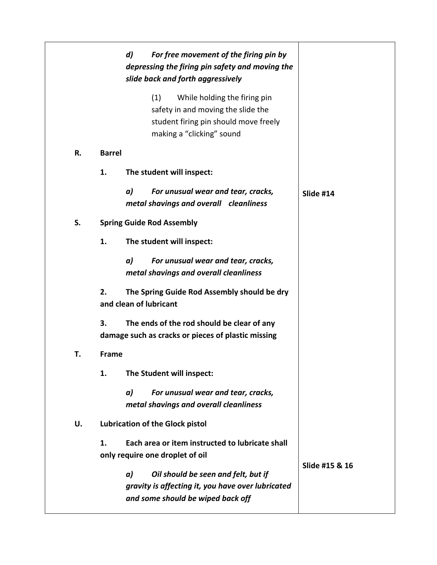|    |               | d) | For free movement of the firing pin by<br>depressing the firing pin safety and moving the<br>slide back and forth aggressively                  |                |
|----|---------------|----|-------------------------------------------------------------------------------------------------------------------------------------------------|----------------|
|    |               |    | (1)<br>While holding the firing pin<br>safety in and moving the slide the<br>student firing pin should move freely<br>making a "clicking" sound |                |
| R. | <b>Barrel</b> |    |                                                                                                                                                 |                |
|    | 1.            |    | The student will inspect:                                                                                                                       |                |
|    |               | a) | For unusual wear and tear, cracks,<br>metal shavings and overall cleanliness                                                                    | Slide #14      |
| S. |               |    | <b>Spring Guide Rod Assembly</b>                                                                                                                |                |
|    | 1.            |    | The student will inspect:                                                                                                                       |                |
|    |               | a) | For unusual wear and tear, cracks,<br>metal shavings and overall cleanliness                                                                    |                |
|    | 2.            |    | The Spring Guide Rod Assembly should be dry<br>and clean of lubricant                                                                           |                |
|    | 3.            |    | The ends of the rod should be clear of any<br>damage such as cracks or pieces of plastic missing                                                |                |
| Т. | <b>Frame</b>  |    |                                                                                                                                                 |                |
|    | 1.            |    | The Student will inspect:                                                                                                                       |                |
|    |               | a) | For unusual wear and tear, cracks,<br>metal shavings and overall cleanliness                                                                    |                |
| U. |               |    | <b>Lubrication of the Glock pistol</b>                                                                                                          |                |
|    | 1.            |    | Each area or item instructed to lubricate shall<br>only require one droplet of oil                                                              | Slide #15 & 16 |
|    |               | a) | Oil should be seen and felt, but if<br>gravity is affecting it, you have over lubricated<br>and some should be wiped back off                   |                |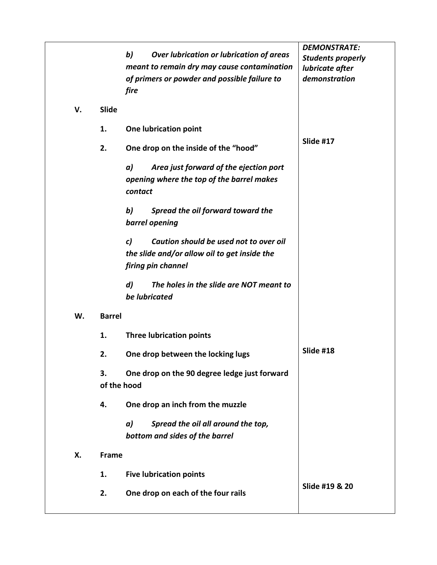|    |               |                                                             | <b>DEMONSTRATE:</b>      |
|----|---------------|-------------------------------------------------------------|--------------------------|
|    |               | b)<br>Over lubrication or lubrication of areas              | <b>Students properly</b> |
|    |               | meant to remain dry may cause contamination                 | lubricate after          |
|    |               | of primers or powder and possible failure to                | demonstration            |
|    |               | fire                                                        |                          |
| V. | <b>Slide</b>  |                                                             |                          |
|    | 1.            | One lubrication point                                       |                          |
|    | 2.            | One drop on the inside of the "hood"                        | Slide #17                |
|    |               | Area just forward of the ejection port<br>a)                |                          |
|    |               | opening where the top of the barrel makes                   |                          |
|    |               | contact                                                     |                          |
|    |               | b)<br>Spread the oil forward toward the                     |                          |
|    |               | barrel opening                                              |                          |
|    |               |                                                             |                          |
|    |               | Caution should be used not to over oil<br>c)                |                          |
|    |               | the slide and/or allow oil to get inside the                |                          |
|    |               | firing pin channel                                          |                          |
|    |               | $\boldsymbol{d}$<br>The holes in the slide are NOT meant to |                          |
|    |               | be lubricated                                               |                          |
| W. | <b>Barrel</b> |                                                             |                          |
|    | 1.            | <b>Three lubrication points</b>                             |                          |
|    | 2.            | One drop between the locking lugs                           | Slide #18                |
|    | 3.            | One drop on the 90 degree ledge just forward                |                          |
|    | of the hood   |                                                             |                          |
|    | 4.            | One drop an inch from the muzzle                            |                          |
|    |               | Spread the oil all around the top,<br>a)                    |                          |
|    |               | bottom and sides of the barrel                              |                          |
| Х. | Frame         |                                                             |                          |
|    | 1.            | <b>Five lubrication points</b>                              |                          |
|    | 2.            |                                                             | Slide #19 & 20           |
|    |               | One drop on each of the four rails                          |                          |
|    |               |                                                             |                          |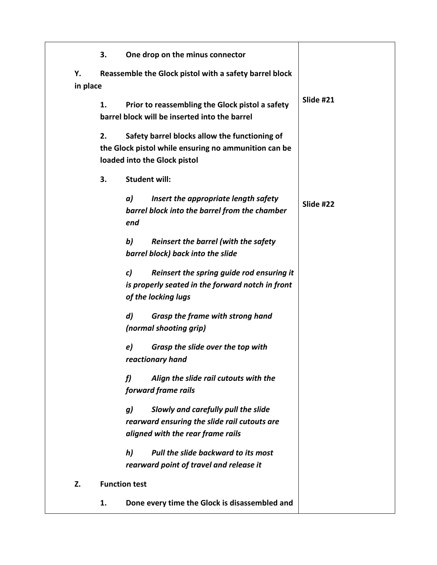|                | 3. | One drop on the minus connector                                                                                                       |           |
|----------------|----|---------------------------------------------------------------------------------------------------------------------------------------|-----------|
| Y.<br>in place |    | Reassemble the Glock pistol with a safety barrel block                                                                                |           |
|                | 1. | Prior to reassembling the Glock pistol a safety<br>barrel block will be inserted into the barrel                                      | Slide #21 |
|                | 2. | Safety barrel blocks allow the functioning of<br>the Glock pistol while ensuring no ammunition can be<br>loaded into the Glock pistol |           |
|                | 3. | <b>Student will:</b>                                                                                                                  |           |
|                |    | a)<br>Insert the appropriate length safety<br>barrel block into the barrel from the chamber<br>end                                    | Slide #22 |
|                |    | b)<br>Reinsert the barrel (with the safety<br>barrel block) back into the slide                                                       |           |
|                |    | Reinsert the spring guide rod ensuring it<br>c)<br>is properly seated in the forward notch in front<br>of the locking lugs            |           |
|                |    | $\boldsymbol{d}$<br><b>Grasp the frame with strong hand</b><br>(normal shooting grip)                                                 |           |
|                |    | e)<br>Grasp the slide over the top with<br>reactionary hand                                                                           |           |
|                |    | Align the slide rail cutouts with the<br>f)<br>forward frame rails                                                                    |           |
|                |    | Slowly and carefully pull the slide<br>g)<br>rearward ensuring the slide rail cutouts are<br>aligned with the rear frame rails        |           |
|                |    | Pull the slide backward to its most<br>h)<br>rearward point of travel and release it                                                  |           |
| Z.             |    | <b>Function test</b>                                                                                                                  |           |
|                | 1. | Done every time the Glock is disassembled and                                                                                         |           |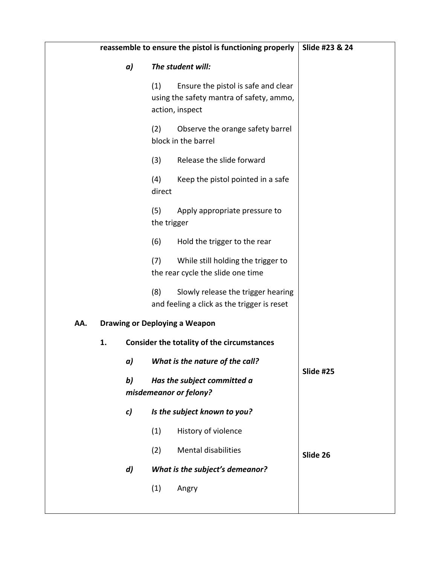|     | reassemble to ensure the pistol is functioning properly | Slide #23 & 24   |                    |                                                                                                    |           |
|-----|---------------------------------------------------------|------------------|--------------------|----------------------------------------------------------------------------------------------------|-----------|
|     |                                                         | a)               |                    | The student will:                                                                                  |           |
|     |                                                         |                  | (1)                | Ensure the pistol is safe and clear<br>using the safety mantra of safety, ammo,<br>action, inspect |           |
|     |                                                         |                  | (2)                | Observe the orange safety barrel<br>block in the barrel                                            |           |
|     |                                                         |                  | (3)                | Release the slide forward                                                                          |           |
|     |                                                         |                  | (4)<br>direct      | Keep the pistol pointed in a safe                                                                  |           |
|     |                                                         |                  | (5)<br>the trigger | Apply appropriate pressure to                                                                      |           |
|     |                                                         |                  | (6)                | Hold the trigger to the rear                                                                       |           |
|     |                                                         |                  | (7)                | While still holding the trigger to<br>the rear cycle the slide one time                            |           |
|     |                                                         |                  | (8)                | Slowly release the trigger hearing<br>and feeling a click as the trigger is reset                  |           |
| AA. |                                                         |                  |                    | <b>Drawing or Deploying a Weapon</b>                                                               |           |
|     | 1.                                                      |                  |                    | Consider the totality of the circumstances                                                         |           |
|     |                                                         | a)               |                    | What is the nature of the call?                                                                    | Slide #25 |
|     |                                                         | b)               |                    | Has the subject committed a<br>misdemeanor or felony?                                              |           |
|     |                                                         | c)               |                    | Is the subject known to you?                                                                       |           |
|     |                                                         |                  | (1)                | History of violence                                                                                |           |
|     |                                                         |                  | (2)                | <b>Mental disabilities</b>                                                                         | Slide 26  |
|     |                                                         | $\boldsymbol{d}$ |                    | What is the subject's demeanor?                                                                    |           |
|     |                                                         |                  | (1)                | Angry                                                                                              |           |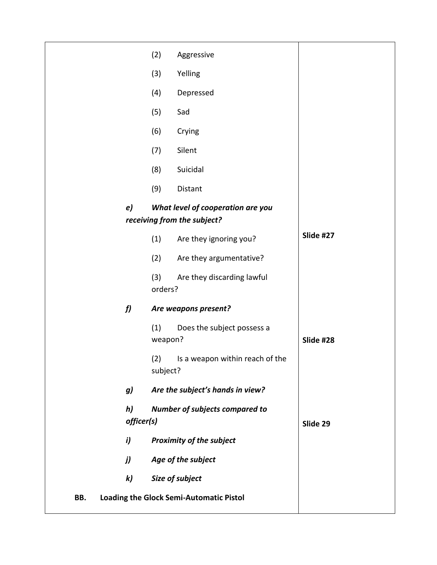|     |                  | (2)             | Aggressive                                                       |           |
|-----|------------------|-----------------|------------------------------------------------------------------|-----------|
|     |                  | (3)             | Yelling                                                          |           |
|     |                  | (4)             | Depressed                                                        |           |
|     |                  | (5)             | Sad                                                              |           |
|     |                  | (6)             | Crying                                                           |           |
|     |                  | (7)             | Silent                                                           |           |
|     |                  | (8)             | Suicidal                                                         |           |
|     |                  | (9)             | Distant                                                          |           |
|     | e)               |                 | What level of cooperation are you<br>receiving from the subject? |           |
|     |                  | (1)             | Are they ignoring you?                                           | Slide #27 |
|     |                  | (2)             | Are they argumentative?                                          |           |
|     |                  | (3)<br>orders?  | Are they discarding lawful                                       |           |
|     | f                |                 | Are weapons present?                                             |           |
|     |                  | (1)<br>weapon?  | Does the subject possess a                                       | Slide #28 |
|     |                  | (2)<br>subject? | Is a weapon within reach of the                                  |           |
|     | g)               |                 | Are the subject's hands in view?                                 |           |
|     | h)<br>officer(s) |                 | <b>Number of subjects compared to</b>                            | Slide 29  |
|     | i)               |                 | <b>Proximity of the subject</b>                                  |           |
|     | j)               |                 | Age of the subject                                               |           |
|     | $\mathbf{k}$     |                 | Size of subject                                                  |           |
| BB. |                  |                 | Loading the Glock Semi-Automatic Pistol                          |           |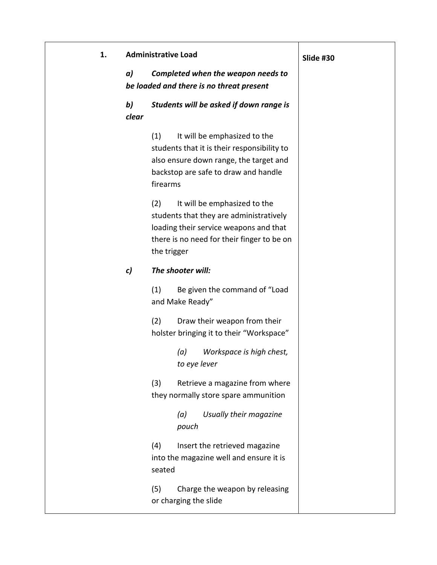| 1. |             | <b>Administrative Load</b>                                                                                                                                                            | Slide #30 |
|----|-------------|---------------------------------------------------------------------------------------------------------------------------------------------------------------------------------------|-----------|
|    | a)          | Completed when the weapon needs to<br>be loaded and there is no threat present                                                                                                        |           |
|    | b)<br>clear | Students will be asked if down range is                                                                                                                                               |           |
|    |             | It will be emphasized to the<br>(1)<br>students that it is their responsibility to<br>also ensure down range, the target and<br>backstop are safe to draw and handle<br>firearms      |           |
|    |             | It will be emphasized to the<br>(2)<br>students that they are administratively<br>loading their service weapons and that<br>there is no need for their finger to be on<br>the trigger |           |
|    | c)          | The shooter will:                                                                                                                                                                     |           |
|    |             | (1)<br>Be given the command of "Load<br>and Make Ready"                                                                                                                               |           |
|    |             | (2)<br>Draw their weapon from their<br>holster bringing it to their "Workspace"                                                                                                       |           |
|    |             | Workspace is high chest,<br>(a)<br>to eye lever                                                                                                                                       |           |
|    |             | (3)<br>Retrieve a magazine from where<br>they normally store spare ammunition                                                                                                         |           |
|    |             | Usually their magazine<br>(a)<br>pouch                                                                                                                                                |           |
|    |             | (4)<br>Insert the retrieved magazine<br>into the magazine well and ensure it is<br>seated                                                                                             |           |
|    |             | (5)<br>Charge the weapon by releasing<br>or charging the slide                                                                                                                        |           |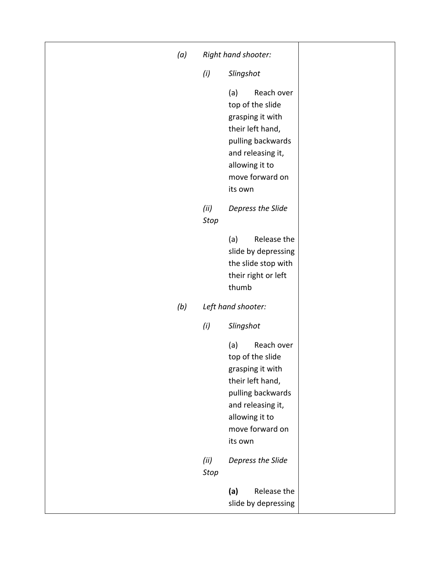| (a) |                     | Right hand shooter:                                                                                                                                                     |  |
|-----|---------------------|-------------------------------------------------------------------------------------------------------------------------------------------------------------------------|--|
|     | (i)                 | Slingshot                                                                                                                                                               |  |
|     |                     | Reach over<br>(a)<br>top of the slide<br>grasping it with<br>their left hand,<br>pulling backwards<br>and releasing it,<br>allowing it to<br>move forward on<br>its own |  |
|     | (ii)<br><b>Stop</b> | Depress the Slide                                                                                                                                                       |  |
|     |                     | Release the<br>(a)<br>slide by depressing<br>the slide stop with<br>their right or left<br>thumb                                                                        |  |
| (b) |                     | Left hand shooter:                                                                                                                                                      |  |
|     | (i)                 | Slingshot                                                                                                                                                               |  |
|     |                     | Reach over<br>(a)<br>top of the slide<br>grasping it with<br>their left hand,<br>pulling backwards<br>and releasing it,<br>allowing it to<br>move forward on<br>its own |  |
|     | (ii)<br><b>Stop</b> | Depress the Slide                                                                                                                                                       |  |
|     |                     | (a)<br>Release the<br>slide by depressing                                                                                                                               |  |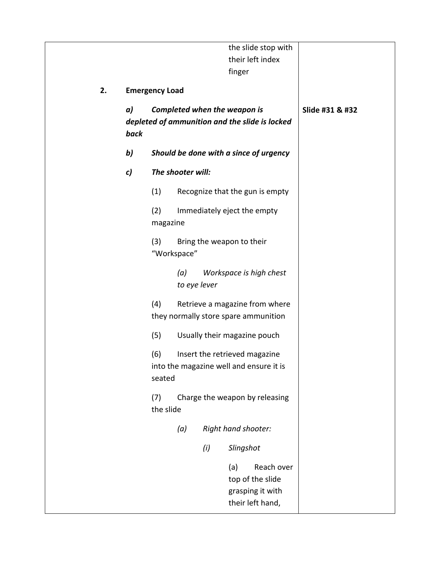|    |            |                       |                     |     | the slide stop with<br>their left index<br>finger                              |                 |
|----|------------|-----------------------|---------------------|-----|--------------------------------------------------------------------------------|-----------------|
| 2. |            |                       |                     |     |                                                                                |                 |
|    | a)<br>back | <b>Emergency Load</b> |                     |     | Completed when the weapon is<br>depleted of ammunition and the slide is locked | Slide #31 & #32 |
|    | b)         |                       |                     |     | Should be done with a since of urgency                                         |                 |
|    | c)         |                       | The shooter will:   |     |                                                                                |                 |
|    |            | (1)                   |                     |     | Recognize that the gun is empty                                                |                 |
|    |            | (2)<br>magazine       |                     |     | Immediately eject the empty                                                    |                 |
|    |            | (3)<br>"Workspace"    |                     |     | Bring the weapon to their                                                      |                 |
|    |            |                       | (a)<br>to eye lever |     | Workspace is high chest                                                        |                 |
|    |            | (4)                   |                     |     | Retrieve a magazine from where<br>they normally store spare ammunition         |                 |
|    |            | (5)                   |                     |     | Usually their magazine pouch                                                   |                 |
|    |            | (6)<br>seated         |                     |     | Insert the retrieved magazine<br>into the magazine well and ensure it is       |                 |
|    |            | (7)<br>the slide      |                     |     | Charge the weapon by releasing                                                 |                 |
|    |            |                       | (a)                 |     | Right hand shooter:                                                            |                 |
|    |            |                       |                     | (i) | Slingshot                                                                      |                 |
|    |            |                       |                     |     | Reach over<br>(a)<br>top of the slide<br>grasping it with<br>their left hand,  |                 |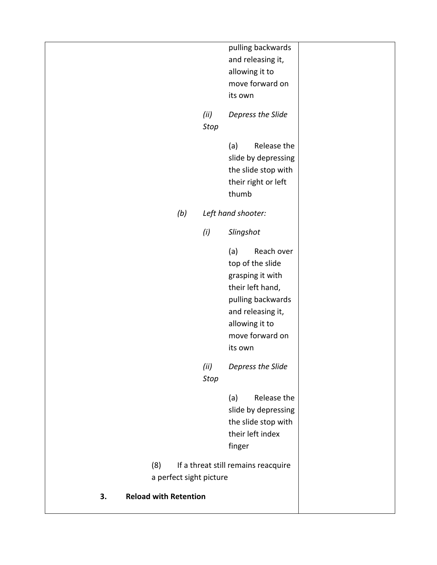|     | (ii)         | allowing it to<br>move forward on<br>its own<br>Depress the Slide                                                       |  |
|-----|--------------|-------------------------------------------------------------------------------------------------------------------------|--|
|     |              | Reach over<br>(a)<br>top of the slide<br>grasping it with<br>their left hand,<br>pulling backwards<br>and releasing it, |  |
|     | (i)          | Slingshot                                                                                                               |  |
| (b) |              | Release the<br>(a)<br>slide by depressing<br>the slide stop with<br>their right or left<br>thumb<br>Left hand shooter:  |  |
|     | (ii)<br>Stop | its own<br>Depress the Slide                                                                                            |  |
|     |              | pulling backwards<br>and releasing it,<br>allowing it to<br>move forward on                                             |  |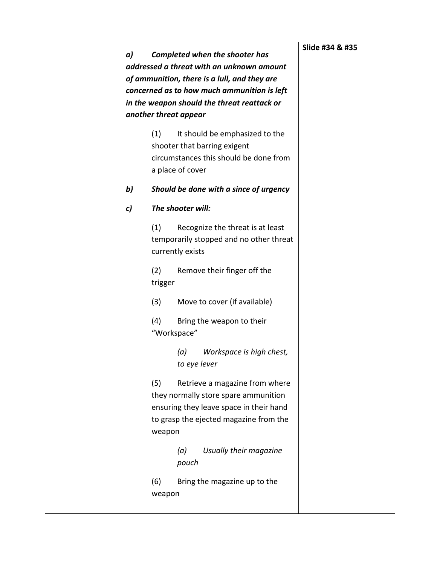| a) | <b>Completed when the shooter has</b><br>addressed a threat with an unknown amount<br>of ammunition, there is a lull, and they are<br>concerned as to how much ammunition is left<br>in the weapon should the threat reattack or<br>another threat appear | Slide #34 & #35 |
|----|-----------------------------------------------------------------------------------------------------------------------------------------------------------------------------------------------------------------------------------------------------------|-----------------|
|    | (1)<br>It should be emphasized to the<br>shooter that barring exigent<br>circumstances this should be done from<br>a place of cover                                                                                                                       |                 |
| b) | Should be done with a since of urgency                                                                                                                                                                                                                    |                 |
| c) | The shooter will:                                                                                                                                                                                                                                         |                 |
|    | (1)<br>Recognize the threat is at least<br>temporarily stopped and no other threat<br>currently exists                                                                                                                                                    |                 |
|    | (2)<br>Remove their finger off the<br>trigger                                                                                                                                                                                                             |                 |
|    | (3)<br>Move to cover (if available)                                                                                                                                                                                                                       |                 |
|    | (4)<br>Bring the weapon to their<br>"Workspace"                                                                                                                                                                                                           |                 |
|    | (a)<br>Workspace is high chest,<br>to eye lever                                                                                                                                                                                                           |                 |
|    | (5)<br>Retrieve a magazine from where<br>they normally store spare ammunition<br>ensuring they leave space in their hand<br>to grasp the ejected magazine from the<br>weapon                                                                              |                 |
|    | Usually their magazine<br>(a)<br>pouch                                                                                                                                                                                                                    |                 |
|    | (6)<br>Bring the magazine up to the<br>weapon                                                                                                                                                                                                             |                 |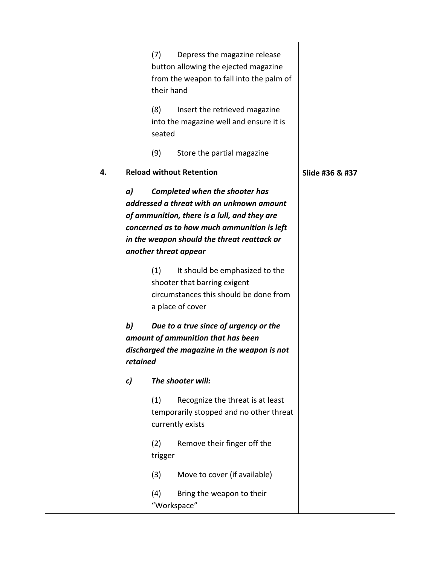|    |                | Depress the magazine release<br>(7)<br>button allowing the ejected magazine<br>from the weapon to fall into the palm of<br>their hand                                                                                                                     |                 |
|----|----------------|-----------------------------------------------------------------------------------------------------------------------------------------------------------------------------------------------------------------------------------------------------------|-----------------|
|    |                | (8)<br>Insert the retrieved magazine<br>into the magazine well and ensure it is<br>seated                                                                                                                                                                 |                 |
|    |                | (9)<br>Store the partial magazine                                                                                                                                                                                                                         |                 |
| 4. |                | <b>Reload without Retention</b>                                                                                                                                                                                                                           | Slide #36 & #37 |
|    | a)             | <b>Completed when the shooter has</b><br>addressed a threat with an unknown amount<br>of ammunition, there is a lull, and they are<br>concerned as to how much ammunition is left<br>in the weapon should the threat reattack or<br>another threat appear |                 |
|    |                | (1)<br>It should be emphasized to the<br>shooter that barring exigent<br>circumstances this should be done from<br>a place of cover                                                                                                                       |                 |
|    | b)<br>retained | Due to a true since of urgency or the<br>amount of ammunition that has been<br>discharged the magazine in the weapon is not                                                                                                                               |                 |
|    | c)             | The shooter will:                                                                                                                                                                                                                                         |                 |
|    |                | (1)<br>Recognize the threat is at least<br>temporarily stopped and no other threat<br>currently exists                                                                                                                                                    |                 |
|    |                | Remove their finger off the<br>(2)<br>trigger                                                                                                                                                                                                             |                 |
|    |                | (3)<br>Move to cover (if available)                                                                                                                                                                                                                       |                 |
|    |                | (4)<br>Bring the weapon to their<br>"Workspace"                                                                                                                                                                                                           |                 |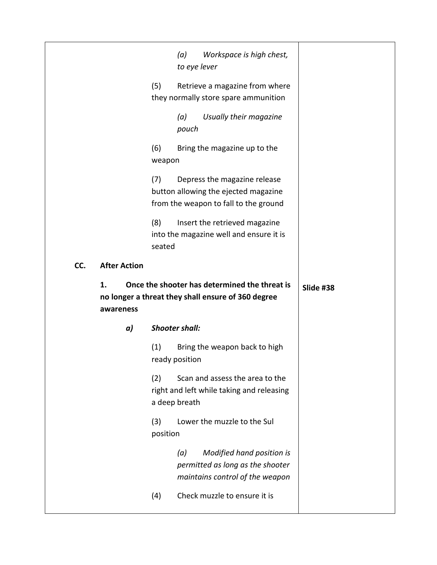|     |                     |    | (5)             | (a)<br>to eye lever   |                                                    | Workspace is high chest,<br>Retrieve a magazine from where<br>they normally store spare ammunition |           |  |  |
|-----|---------------------|----|-----------------|-----------------------|----------------------------------------------------|----------------------------------------------------------------------------------------------------|-----------|--|--|
|     |                     |    |                 | (a)<br>pouch          |                                                    | Usually their magazine                                                                             |           |  |  |
|     |                     |    | (6)<br>weapon   |                       | Bring the magazine up to the                       |                                                                                                    |           |  |  |
|     |                     |    | (7)             |                       | Depress the magazine release                       | button allowing the ejected magazine<br>from the weapon to fall to the ground                      |           |  |  |
|     |                     |    | (8)<br>seated   |                       | Insert the retrieved magazine                      | into the magazine well and ensure it is                                                            |           |  |  |
|     |                     |    |                 |                       |                                                    |                                                                                                    |           |  |  |
| CC. | <b>After Action</b> |    |                 |                       |                                                    |                                                                                                    |           |  |  |
|     | 1.<br>awareness     |    |                 |                       | no longer a threat they shall ensure of 360 degree | Once the shooter has determined the threat is                                                      | Slide #38 |  |  |
|     |                     | a) |                 | <b>Shooter shall:</b> |                                                    |                                                                                                    |           |  |  |
|     |                     |    | (1)             | ready position        |                                                    | Bring the weapon back to high                                                                      |           |  |  |
|     |                     |    | (2)             | a deep breath         |                                                    | Scan and assess the area to the<br>right and left while taking and releasing                       |           |  |  |
|     |                     |    | (3)<br>position |                       | Lower the muzzle to the Sul                        |                                                                                                    |           |  |  |
|     |                     |    |                 | (a)                   |                                                    | Modified hand position is<br>permitted as long as the shooter<br>maintains control of the weapon   |           |  |  |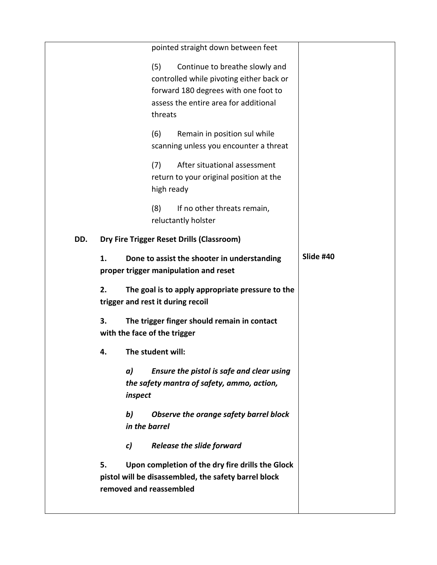|     |    |                              | pointed straight down between feet                                                                                                                                     |           |
|-----|----|------------------------------|------------------------------------------------------------------------------------------------------------------------------------------------------------------------|-----------|
|     |    | (5)                          | Continue to breathe slowly and<br>controlled while pivoting either back or<br>forward 180 degrees with one foot to<br>assess the entire area for additional<br>threats |           |
|     |    | (6)                          | Remain in position sul while<br>scanning unless you encounter a threat                                                                                                 |           |
|     |    | (7)                          | After situational assessment<br>return to your original position at the<br>high ready                                                                                  |           |
|     |    | (8)                          | If no other threats remain,<br>reluctantly holster                                                                                                                     |           |
| DD. |    |                              | Dry Fire Trigger Reset Drills (Classroom)                                                                                                                              |           |
|     | 1. |                              | Done to assist the shooter in understanding<br>proper trigger manipulation and reset                                                                                   | Slide #40 |
|     | 2. |                              | The goal is to apply appropriate pressure to the<br>trigger and rest it during recoil                                                                                  |           |
|     | 3. | with the face of the trigger | The trigger finger should remain in contact                                                                                                                            |           |
|     | 4. | The student will:            |                                                                                                                                                                        |           |
|     |    | a)<br>inspect                | Ensure the pistol is safe and clear using<br>the safety mantra of safety, ammo, action,                                                                                |           |
|     |    | b)<br>in the barrel          | Observe the orange safety barrel block                                                                                                                                 |           |
|     |    |                              | <b>Release the slide forward</b>                                                                                                                                       |           |
|     |    | c)                           |                                                                                                                                                                        |           |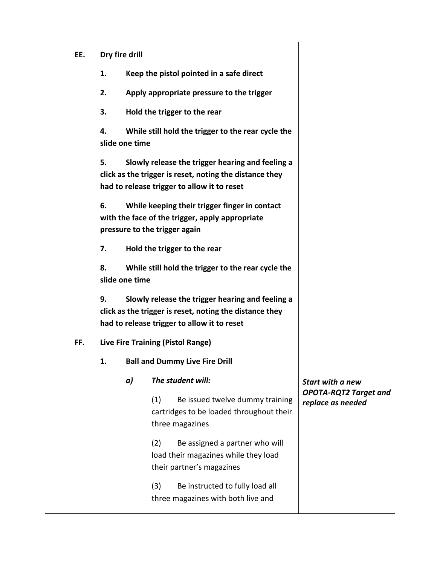| EE. |    | Dry fire drill |                                                                                                                                                            |                                                   |
|-----|----|----------------|------------------------------------------------------------------------------------------------------------------------------------------------------------|---------------------------------------------------|
|     | 1. |                | Keep the pistol pointed in a safe direct                                                                                                                   |                                                   |
|     | 2. |                | Apply appropriate pressure to the trigger                                                                                                                  |                                                   |
|     | 3. |                | Hold the trigger to the rear                                                                                                                               |                                                   |
|     | 4. | slide one time | While still hold the trigger to the rear cycle the                                                                                                         |                                                   |
|     | 5. |                | Slowly release the trigger hearing and feeling a<br>click as the trigger is reset, noting the distance they<br>had to release trigger to allow it to reset |                                                   |
|     | 6. |                | While keeping their trigger finger in contact<br>with the face of the trigger, apply appropriate<br>pressure to the trigger again                          |                                                   |
|     | 7. |                | Hold the trigger to the rear                                                                                                                               |                                                   |
|     | 8. | slide one time | While still hold the trigger to the rear cycle the                                                                                                         |                                                   |
|     | 9. |                | Slowly release the trigger hearing and feeling a<br>click as the trigger is reset, noting the distance they<br>had to release trigger to allow it to reset |                                                   |
| FF. |    |                | Live Fire Training (Pistol Range)                                                                                                                          |                                                   |
|     | 1. |                | <b>Ball and Dummy Live Fire Drill</b>                                                                                                                      |                                                   |
|     |    | a)             | The student will:                                                                                                                                          | <b>Start with a new</b>                           |
|     |    |                | Be issued twelve dummy training<br>(1)<br>cartridges to be loaded throughout their<br>three magazines                                                      | <b>OPOTA-RQT2 Target and</b><br>replace as needed |
|     |    |                | (2)<br>Be assigned a partner who will<br>load their magazines while they load<br>their partner's magazines                                                 |                                                   |
|     |    |                | (3)<br>Be instructed to fully load all<br>three magazines with both live and                                                                               |                                                   |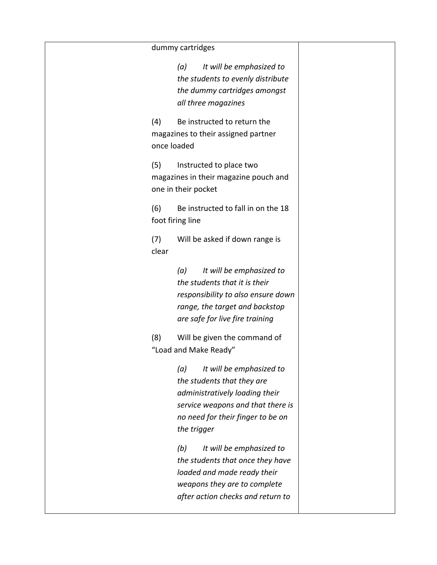## dummy cartridges

|                    | adililiy caratages                                                                                                                                                                    |
|--------------------|---------------------------------------------------------------------------------------------------------------------------------------------------------------------------------------|
|                    | (a)<br>It will be emphasized to<br>the students to evenly distribute<br>the dummy cartridges amongst<br>all three magazines                                                           |
| (4)<br>once loaded | Be instructed to return the<br>magazines to their assigned partner                                                                                                                    |
| (5)                | Instructed to place two<br>magazines in their magazine pouch and<br>one in their pocket                                                                                               |
| (6)                | Be instructed to fall in on the 18<br>foot firing line                                                                                                                                |
| (7)<br>clear       | Will be asked if down range is                                                                                                                                                        |
|                    | It will be emphasized to<br>(a)<br>the students that it is their<br>responsibility to also ensure down<br>range, the target and backstop<br>are safe for live fire training           |
| (8)                | Will be given the command of<br>"Load and Make Ready"                                                                                                                                 |
|                    | (a) It will be emphasized to<br>the students that they are<br>administratively loading their<br>service weapons and that there is<br>no need for their finger to be on<br>the trigger |
|                    | (b)<br>It will be emphasized to<br>the students that once they have<br>loaded and made ready their<br>weapons they are to complete<br>after action checks and return to               |

 $\mathsf{l}$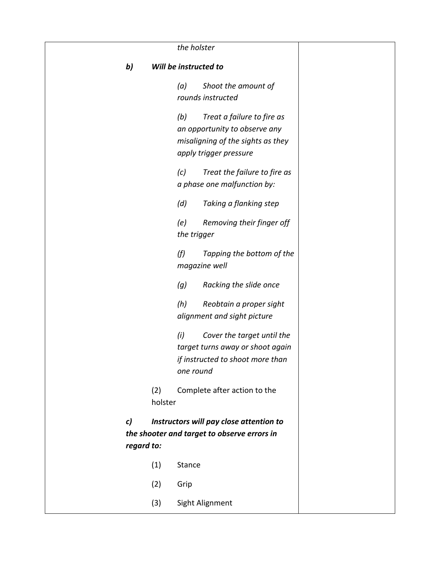|    | the holster    |                                                                                                                                   |  |  |
|----|----------------|-----------------------------------------------------------------------------------------------------------------------------------|--|--|
| b) |                | Will be instructed to                                                                                                             |  |  |
|    |                | Shoot the amount of<br>(a)<br>rounds instructed                                                                                   |  |  |
|    |                | (b)<br>Treat a failure to fire as<br>an opportunity to observe any<br>misaligning of the sights as they<br>apply trigger pressure |  |  |
|    |                | Treat the failure to fire as<br>(c)<br>a phase one malfunction by:                                                                |  |  |
|    |                | Taking a flanking step<br>(d)                                                                                                     |  |  |
|    |                | (e)<br>Removing their finger off<br>the trigger                                                                                   |  |  |
|    |                | (f)<br>Tapping the bottom of the<br>magazine well                                                                                 |  |  |
|    |                | (g)<br>Racking the slide once                                                                                                     |  |  |
|    |                | (h)<br>Reobtain a proper sight<br>alignment and sight picture                                                                     |  |  |
|    |                | (i)<br>Cover the target until the<br>target turns away or shoot again<br>if instructed to shoot more than<br>one round            |  |  |
|    | (2)<br>holster | Complete after action to the                                                                                                      |  |  |
| c) | regard to:     | Instructors will pay close attention to<br>the shooter and target to observe errors in                                            |  |  |
|    | (1)            | <b>Stance</b>                                                                                                                     |  |  |
|    | (2)            | Grip                                                                                                                              |  |  |
|    | (3)            | Sight Alignment                                                                                                                   |  |  |
|    |                |                                                                                                                                   |  |  |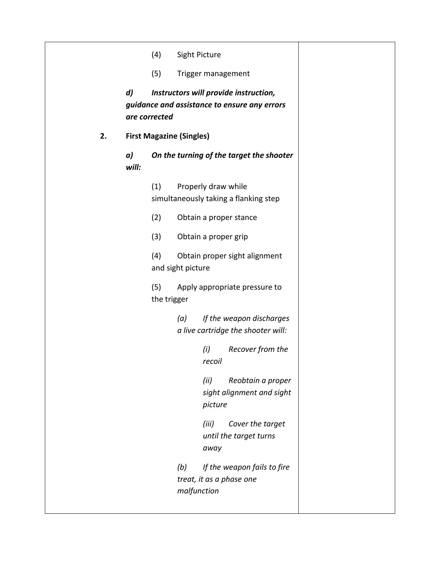|    |                  | (4)                |                                                                                       | Sight Picture        |                                                                |  |
|----|------------------|--------------------|---------------------------------------------------------------------------------------|----------------------|----------------------------------------------------------------|--|
|    |                  | (5)                |                                                                                       | Trigger management   |                                                                |  |
|    | $\boldsymbol{d}$ | are corrected      | Instructors will provide instruction,<br>guidance and assistance to ensure any errors |                      |                                                                |  |
| 2. |                  |                    | <b>First Magazine (Singles)</b><br>On the turning of the target the shooter           |                      |                                                                |  |
|    | a)<br>will:      |                    |                                                                                       |                      |                                                                |  |
|    |                  | (1)                |                                                                                       | Properly draw while  | simultaneously taking a flanking step                          |  |
|    |                  | (2)                |                                                                                       |                      | Obtain a proper stance                                         |  |
|    |                  | (3)                |                                                                                       | Obtain a proper grip |                                                                |  |
|    |                  | (4)                | and sight picture                                                                     |                      | Obtain proper sight alignment                                  |  |
|    |                  | (5)<br>the trigger |                                                                                       |                      | Apply appropriate pressure to                                  |  |
|    |                  |                    | (a)                                                                                   |                      | If the weapon discharges<br>a live cartridge the shooter will: |  |
|    |                  |                    |                                                                                       | (i)<br>recoil        | Recover from the                                               |  |
|    |                  |                    |                                                                                       | (ii)<br>picture      | Reobtain a proper<br>sight alignment and sight                 |  |
|    |                  |                    |                                                                                       | (iii)<br>away        | Cover the target<br>until the target turns                     |  |
|    |                  |                    | (b)                                                                                   | malfunction          | If the weapon fails to fire<br>treat, it as a phase one        |  |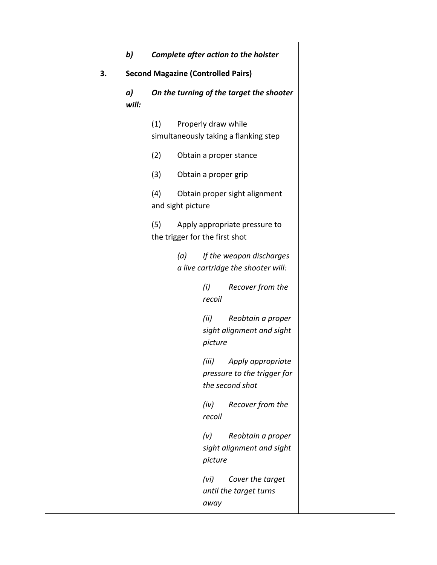|    | b)          |                          | Complete after action to the holster                                         |
|----|-------------|--------------------------|------------------------------------------------------------------------------|
| 3. |             |                          | <b>Second Magazine (Controlled Pairs)</b>                                    |
|    | a)<br>will: |                          | On the turning of the target the shooter                                     |
|    |             | (1)                      | Properly draw while<br>simultaneously taking a flanking step                 |
|    |             | (2)                      | Obtain a proper stance                                                       |
|    |             | (3)                      | Obtain a proper grip                                                         |
|    |             | (4)<br>and sight picture | Obtain proper sight alignment                                                |
|    |             | (5)                      | Apply appropriate pressure to<br>the trigger for the first shot              |
|    |             | (a)                      | If the weapon discharges<br>a live cartridge the shooter will:               |
|    |             |                          | (i)<br>Recover from the<br>recoil                                            |
|    |             |                          | Reobtain a proper<br>(ii)<br>sight alignment and sight<br>picture            |
|    |             |                          | (iii)<br>Apply appropriate<br>pressure to the trigger for<br>the second shot |
|    |             |                          | Recover from the<br>(iv)<br>recoil                                           |
|    |             |                          | (v)<br>Reobtain a proper<br>sight alignment and sight<br>picture             |
|    |             |                          | (vi)<br>Cover the target<br>until the target turns<br>away                   |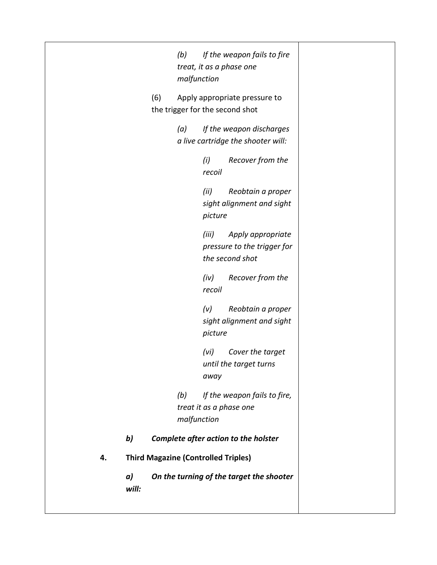*(b) If the weapon fails to fire treat, it as a phase one malfunction* (6) Apply appropriate pressure to the trigger for the second shot *(a) If the weapon discharges a live cartridge the shooter will: (i) Recover from the recoil (ii) Reobtain a proper sight alignment and sight picture (iii) Apply appropriate pressure to the trigger for the second shot (iv) Recover from the recoil (v) Reobtain a proper sight alignment and sight picture (vi) Cover the target until the target turns away (b) If the weapon fails to fire, treat it as a phase one malfunction b) Complete after action to the holster* **4. Third Magazine (Controlled Triples)** *a) On the turning of the target the shooter will:*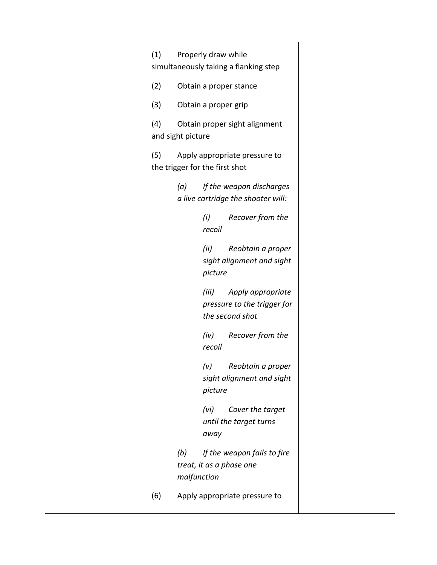| (1) | Properly draw while<br>simultaneously taking a flanking step                  |
|-----|-------------------------------------------------------------------------------|
| (2) | Obtain a proper stance                                                        |
| (3) | Obtain a proper grip                                                          |
| (4) | Obtain proper sight alignment<br>and sight picture                            |
| (5) | Apply appropriate pressure to<br>the trigger for the first shot               |
|     | If the weapon discharges<br>(a)<br>a live cartridge the shooter will:         |
|     | Recover from the<br>(i)<br>recoil                                             |
|     | (ii)<br>Reobtain a proper<br>sight alignment and sight<br>picture             |
|     | (iii)<br>Apply appropriate<br>pressure to the trigger for<br>the second shot  |
|     | Recover from the<br>(iv)<br>recoil                                            |
|     | (v)<br>Reobtain a proper<br>sight alignment and sight<br>picture              |
|     | (vi)<br>Cover the target<br>until the target turns<br>away                    |
|     | (b)<br>If the weapon fails to fire<br>treat, it as a phase one<br>malfunction |
| (6) | Apply appropriate pressure to                                                 |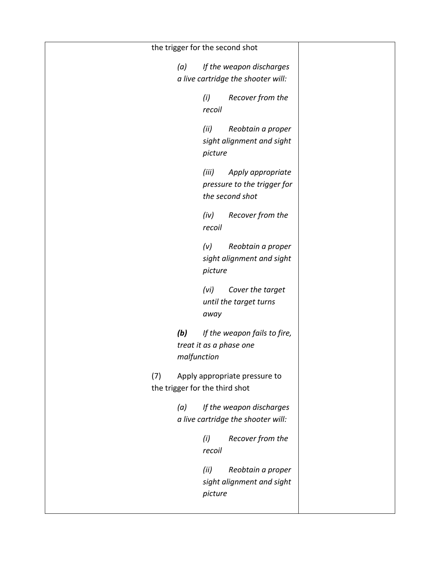| the trigger for the second shot                                               |  |
|-------------------------------------------------------------------------------|--|
| (a)<br>If the weapon discharges<br>a live cartridge the shooter will:         |  |
| Recover from the<br>(i)<br>recoil                                             |  |
| (ii)<br>Reobtain a proper<br>sight alignment and sight<br>picture             |  |
| (iii)<br>Apply appropriate<br>pressure to the trigger for<br>the second shot  |  |
| Recover from the<br>(iv)<br>recoil                                            |  |
| (v)<br>Reobtain a proper<br>sight alignment and sight<br>picture              |  |
| (vi)<br>Cover the target<br>until the target turns<br>away                    |  |
| (b)<br>If the weapon fails to fire,<br>treat it as a phase one<br>malfunction |  |
| (7)<br>Apply appropriate pressure to<br>the trigger for the third shot        |  |
| If the weapon discharges<br>(a)<br>a live cartridge the shooter will:         |  |
| Recover from the<br>(i)<br>recoil                                             |  |
| Reobtain a proper<br>(ii)<br>sight alignment and sight<br>picture             |  |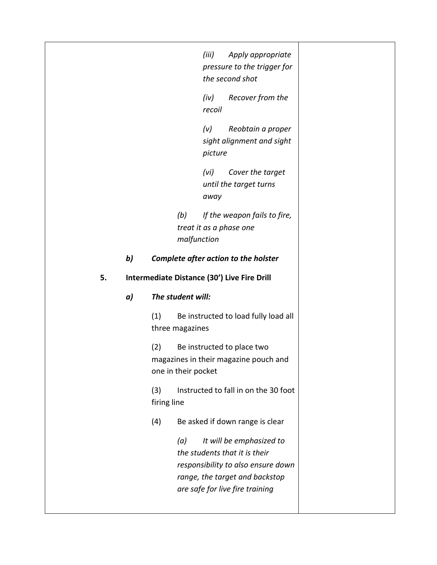*(iii) Apply appropriate pressure to the trigger for the second shot*

*(iv) Recover from the recoil*

*(v) Reobtain a proper sight alignment and sight picture* 

*(vi) Cover the target until the target turns away* 

*(b) If the weapon fails to fire, treat it as a phase one malfunction*

#### *b) Complete after action to the holster*

#### **5. Intermediate Distance (30') Live Fire Drill**

#### *a) The student will:*

(1) Be instructed to load fully load all three magazines

(2) Be instructed to place two magazines in their magazine pouch and one in their pocket

(3) Instructed to fall in on the 30 foot firing line

(4) Be asked if down range is clear

*(a) It will be emphasized to the students that it is their responsibility to also ensure down range, the target and backstop are safe for live fire training*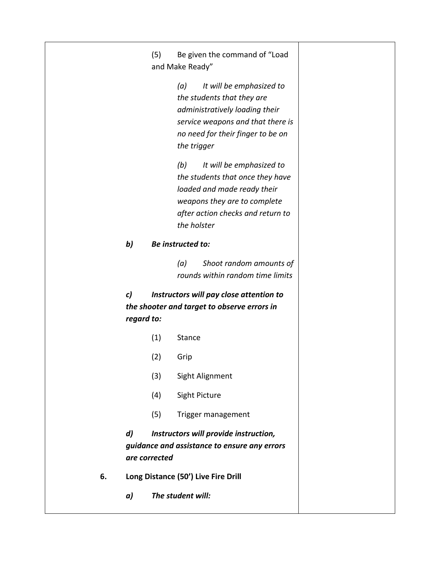(5) Be given the command of "Load and Make Ready"

> *(a) It will be emphasized to the students that they are administratively loading their service weapons and that there is no need for their finger to be on the trigger*

*(b) It will be emphasized to the students that once they have loaded and made ready their weapons they are to complete after action checks and return to the holster*

#### *b) Be instructed to:*

*(a) Shoot random amounts of rounds within random time limits*

*c) Instructors will pay close attention to the shooter and target to observe errors in regard to:*

- (1) Stance
- (2) Grip
- (3) Sight Alignment
- (4) Sight Picture
- (5) Trigger management

*d) Instructors will provide instruction, guidance and assistance to ensure any errors are corrected* 

- **6. Long Distance (50') Live Fire Drill**
	- *a) The student will:*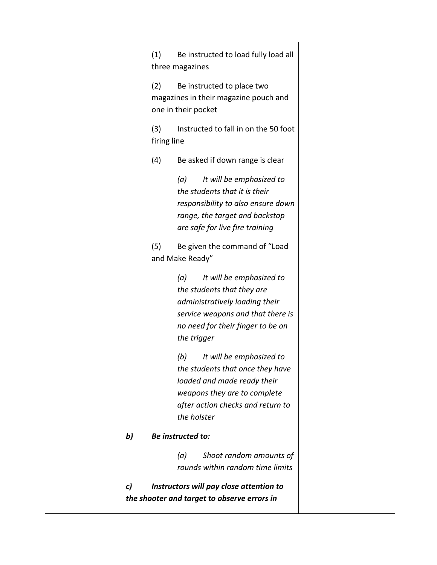(1) Be instructed to load fully load all three magazines

(2) Be instructed to place two magazines in their magazine pouch and one in their pocket

(3) Instructed to fall in on the 50 foot firing line

(4) Be asked if down range is clear

*(a) It will be emphasized to the students that it is their responsibility to also ensure down range, the target and backstop are safe for live fire training*

(5) Be given the command of "Load and Make Ready"

> *(a) It will be emphasized to the students that they are administratively loading their service weapons and that there is no need for their finger to be on the trigger*

*(b) It will be emphasized to the students that once they have loaded and made ready their weapons they are to complete after action checks and return to the holster*

#### *b) Be instructed to:*

*(a) Shoot random amounts of rounds within random time limits*

*c) Instructors will pay close attention to the shooter and target to observe errors in*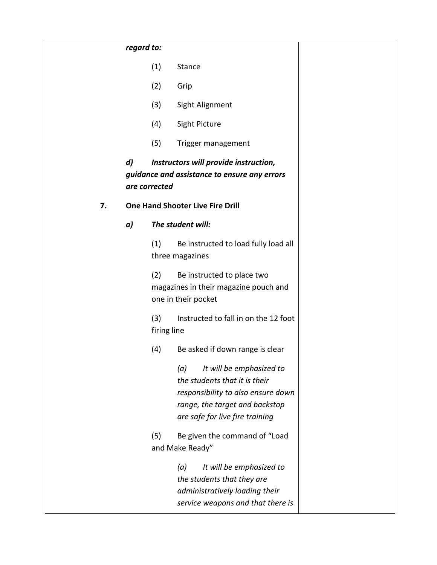|    | regard to:       |                    |                                                                                                                                                                             |
|----|------------------|--------------------|-----------------------------------------------------------------------------------------------------------------------------------------------------------------------------|
|    |                  | (1)                | <b>Stance</b>                                                                                                                                                               |
|    |                  | (2)                | Grip                                                                                                                                                                        |
|    |                  | (3)                | Sight Alignment                                                                                                                                                             |
|    |                  | (4)                | Sight Picture                                                                                                                                                               |
|    |                  | (5)                | Trigger management                                                                                                                                                          |
|    | $\boldsymbol{d}$ | are corrected      | Instructors will provide instruction,<br>guidance and assistance to ensure any errors                                                                                       |
| 7. |                  |                    | <b>One Hand Shooter Live Fire Drill</b>                                                                                                                                     |
|    | a)               |                    | The student will:                                                                                                                                                           |
|    |                  | (1)                | Be instructed to load fully load all<br>three magazines                                                                                                                     |
|    |                  | (2)                | Be instructed to place two<br>magazines in their magazine pouch and<br>one in their pocket                                                                                  |
|    |                  | (3)<br>firing line | Instructed to fall in on the 12 foot                                                                                                                                        |
|    |                  | (4)                | Be asked if down range is clear                                                                                                                                             |
|    |                  |                    | (a)<br>It will be emphasized to<br>the students that it is their<br>responsibility to also ensure down<br>range, the target and backstop<br>are safe for live fire training |
|    |                  | (5)                | Be given the command of "Load<br>and Make Ready"                                                                                                                            |
|    |                  |                    | It will be emphasized to<br>(a)<br>the students that they are<br>administratively loading their<br>service weapons and that there is                                        |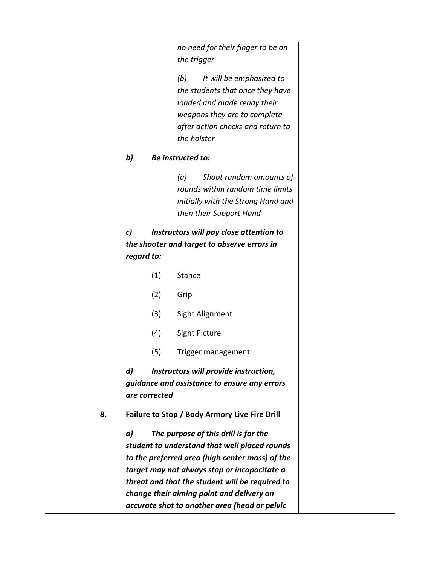*no need for their finger to be on the trigger*

*(b) It will be emphasized to the students that once they have loaded and made ready their weapons they are to complete after action checks and return to the holster*

#### *b) Be instructed to:*

*(a) Shoot random amounts of rounds within random time limits initially with the Strong Hand and then their Support Hand* 

*c) Instructors will pay close attention to the shooter and target to observe errors in regard to:*

(1) Stance (2) Grip (3) Sight Alignment (4) Sight Picture (5) Trigger management *d) Instructors will provide instruction, guidance and assistance to ensure any errors are corrected*  **8. Failure to Stop / Body Armory Live Fire Drill** *a) The purpose of this drill is for the student to understand that well placed rounds to the preferred area (high center mass) of the target may not always stop or incapacitate a threat and that the student will be required to change their aiming point and delivery an* 

*accurate shot to another area (head or pelvic*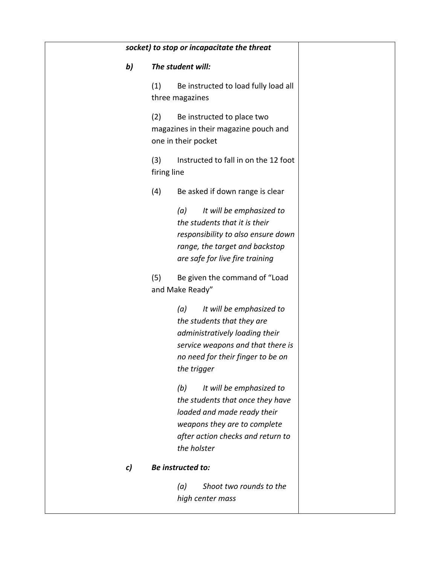|    | socket) to stop or incapacitate the threat                                                                                                                                               |
|----|------------------------------------------------------------------------------------------------------------------------------------------------------------------------------------------|
| b) | The student will:                                                                                                                                                                        |
|    | Be instructed to load fully load all<br>(1)<br>three magazines                                                                                                                           |
|    | (2)<br>Be instructed to place two<br>magazines in their magazine pouch and<br>one in their pocket                                                                                        |
|    | (3)<br>Instructed to fall in on the 12 foot<br>firing line                                                                                                                               |
|    | (4)<br>Be asked if down range is clear                                                                                                                                                   |
|    | It will be emphasized to<br>(a)<br>the students that it is their<br>responsibility to also ensure down<br>range, the target and backstop<br>are safe for live fire training              |
|    | (5)<br>Be given the command of "Load<br>and Make Ready"                                                                                                                                  |
|    | It will be emphasized to<br>(a)<br>the students that they are<br>administratively loading their<br>service weapons and that there is<br>no need for their finger to be on<br>the trigger |
|    | It will be emphasized to<br>(b)<br>the students that once they have<br>loaded and made ready their<br>weapons they are to complete<br>after action checks and return to<br>the holster   |
| c) | Be instructed to:                                                                                                                                                                        |
|    | Shoot two rounds to the<br>(a)<br>high center mass                                                                                                                                       |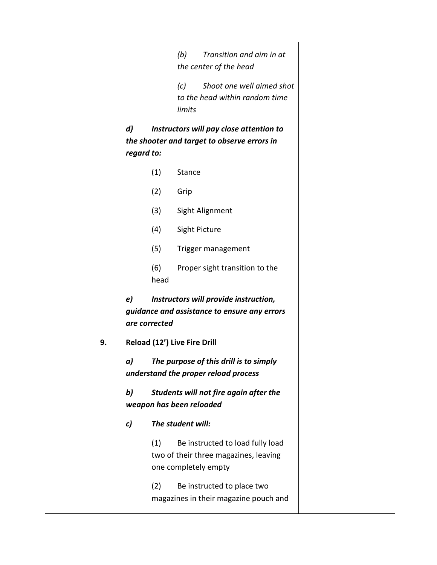|                  |               | (b)                          | Transition and aim in at<br>the center of the head                                                |  |
|------------------|---------------|------------------------------|---------------------------------------------------------------------------------------------------|--|
|                  |               | (c)<br>limits                | Shoot one well aimed shot<br>to the head within random time                                       |  |
| d)<br>regard to: |               |                              | Instructors will pay close attention to<br>the shooter and target to observe errors in            |  |
|                  | (1)           | <b>Stance</b>                |                                                                                                   |  |
|                  | (2)           | Grip                         |                                                                                                   |  |
|                  | (3)           |                              | Sight Alignment                                                                                   |  |
|                  | (4)           | Sight Picture                |                                                                                                   |  |
|                  | (5)           |                              | Trigger management                                                                                |  |
|                  | (6)<br>head   |                              | Proper sight transition to the                                                                    |  |
| e)               | are corrected |                              | Instructors will provide instruction,<br>guidance and assistance to ensure any errors             |  |
|                  |               | Reload (12') Live Fire Drill |                                                                                                   |  |
| a)               |               |                              | The purpose of this drill is to simply<br>understand the proper reload process                    |  |
| b)               |               | weapon has been reloaded     | Students will not fire again after the                                                            |  |
| c)               |               | The student will:            |                                                                                                   |  |
|                  | (1)           |                              | Be instructed to load fully load<br>two of their three magazines, leaving<br>one completely empty |  |
|                  |               |                              |                                                                                                   |  |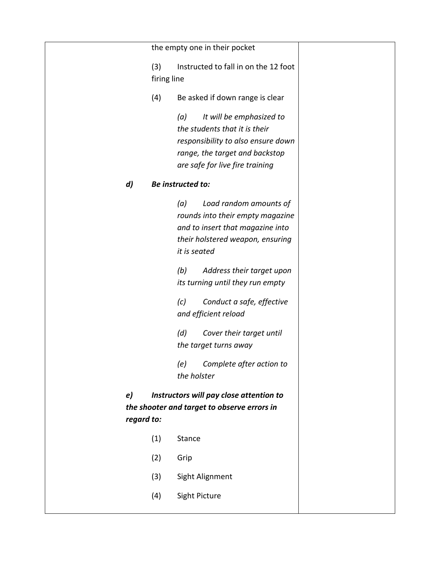the empty one in their pocket (3) Instructed to fall in on the 12 foot firing line (4) Be asked if down range is clear *(a) It will be emphasized to the students that it is their responsibility to also ensure down range, the target and backstop are safe for live fire training d) Be instructed to: (a) Load random amounts of rounds into their empty magazine and to insert that magazine into their holstered weapon, ensuring it is seated (b) Address their target upon its turning until they run empty (c) Conduct a safe, effective and efficient reload (d) Cover their target until the target turns away (e) Complete after action to the holster e) Instructors will pay close attention to the shooter and target to observe errors in regard to:* (1) Stance (2) Grip (3) Sight Alignment

(4) Sight Picture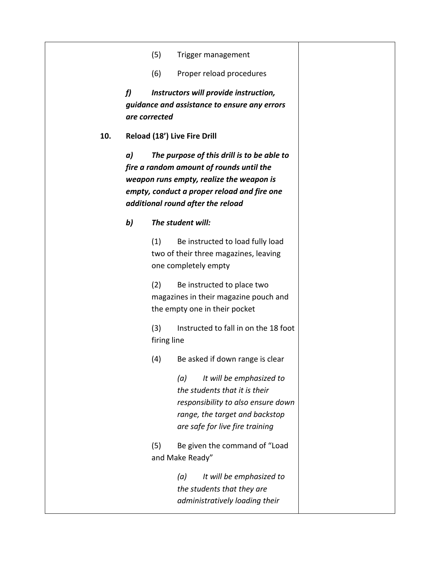- (5) Trigger management
- (6) Proper reload procedures

*f) Instructors will provide instruction, guidance and assistance to ensure any errors are corrected*

**10. Reload (18') Live Fire Drill**

*a) The purpose of this drill is to be able to fire a random amount of rounds until the weapon runs empty, realize the weapon is empty, conduct a proper reload and fire one additional round after the reload*

#### *b) The student will:*

(1) Be instructed to load fully load two of their three magazines, leaving one completely empty

(2) Be instructed to place two magazines in their magazine pouch and the empty one in their pocket

(3) Instructed to fall in on the 18 foot firing line

(4) Be asked if down range is clear

*(a) It will be emphasized to the students that it is their responsibility to also ensure down range, the target and backstop are safe for live fire training*

(5) Be given the command of "Load and Make Ready"

> *(a) It will be emphasized to the students that they are administratively loading their*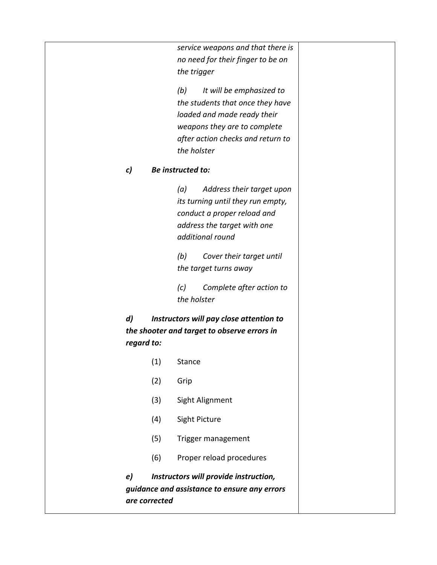*service weapons and that there is no need for their finger to be on the trigger*

*(b) It will be emphasized to the students that once they have loaded and made ready their weapons they are to complete after action checks and return to the holster*

#### *c) Be instructed to:*

*(a) Address their target upon its turning until they run empty, conduct a proper reload and address the target with one additional round*

*(b) Cover their target until the target turns away*

*(c) Complete after action to the holster*

*d) Instructors will pay close attention to the shooter and target to observe errors in regard to:*

- (1) Stance
- (2) Grip
- (3) Sight Alignment
- (4) Sight Picture
- (5) Trigger management
- (6) Proper reload procedures

*e) Instructors will provide instruction, guidance and assistance to ensure any errors are corrected*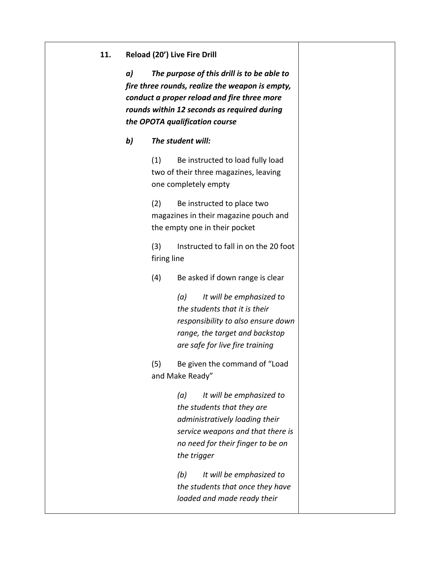#### **11. Reload (20') Live Fire Drill**

*a) The purpose of this drill is to be able to fire three rounds, realize the weapon is empty, conduct a proper reload and fire three more rounds within 12 seconds as required during the OPOTA qualification course*

#### *b) The student will:*

(1) Be instructed to load fully load two of their three magazines, leaving one completely empty

(2) Be instructed to place two magazines in their magazine pouch and the empty one in their pocket

(3) Instructed to fall in on the 20 foot firing line

(4) Be asked if down range is clear

*(a) It will be emphasized to the students that it is their responsibility to also ensure down range, the target and backstop are safe for live fire training*

(5) Be given the command of "Load and Make Ready"

> *(a) It will be emphasized to the students that they are administratively loading their service weapons and that there is no need for their finger to be on the trigger*

*(b) It will be emphasized to the students that once they have loaded and made ready their*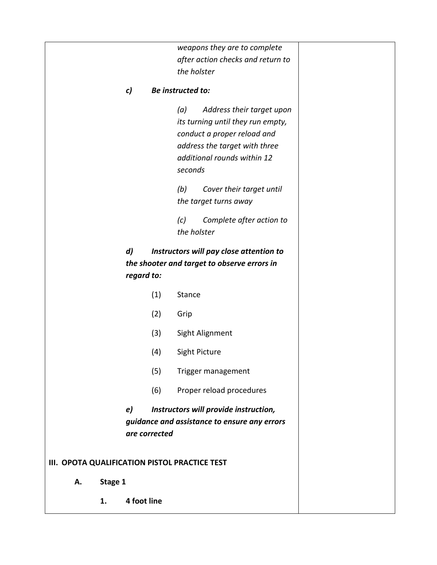*weapons they are to complete after action checks and return to the holster*

#### *c) Be instructed to:*

*(a) Address their target upon its turning until they run empty, conduct a proper reload and address the target with three additional rounds within 12 seconds*

*(b) Cover their target until the target turns away*

*(c) Complete after action to the holster*

*d) Instructors will pay close attention to the shooter and target to observe errors in regard to:*

- (1) Stance
- (2) Grip
- (3) Sight Alignment
- (4) Sight Picture
- (5) Trigger management
- (6) Proper reload procedures

*e) Instructors will provide instruction, guidance and assistance to ensure any errors are corrected*

#### **III. OPOTA QUALIFICATION PISTOL PRACTICE TEST**

- **A. Stage 1**
	- **1. 4 foot line**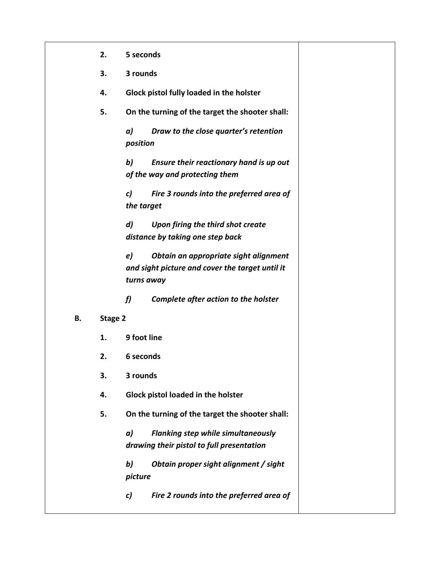|    | 2.      | 5 seconds                                                                                                    |
|----|---------|--------------------------------------------------------------------------------------------------------------|
|    | 3.      | 3 rounds                                                                                                     |
|    | 4.      | Glock pistol fully loaded in the holster                                                                     |
|    | 5.      | On the turning of the target the shooter shall:                                                              |
|    |         | a)<br>Draw to the close quarter's retention<br>position                                                      |
|    |         | b)<br>Ensure their reactionary hand is up out<br>of the way and protecting them                              |
|    |         | Fire 3 rounds into the preferred area of<br>c)<br>the target                                                 |
|    |         | $\boldsymbol{d}$<br>Upon firing the third shot create<br>distance by taking one step back                    |
|    |         | e)<br>Obtain an appropriate sight alignment<br>and sight picture and cover the target until it<br>turns away |
|    |         | f<br>Complete after action to the holster                                                                    |
| В. | Stage 2 |                                                                                                              |
|    | 1.      | 9 foot line                                                                                                  |
|    | 2.      | 6 seconds                                                                                                    |
|    | 3.      | 3 rounds                                                                                                     |
|    | 4.      | Glock pistol loaded in the holster                                                                           |
|    | 5.      | On the turning of the target the shooter shall:                                                              |
|    |         | <b>Flanking step while simultaneously</b><br>a)<br>drawing their pistol to full presentation                 |
|    |         | b)<br>Obtain proper sight alignment / sight<br>picture                                                       |
|    |         | Fire 2 rounds into the preferred area of<br>c)                                                               |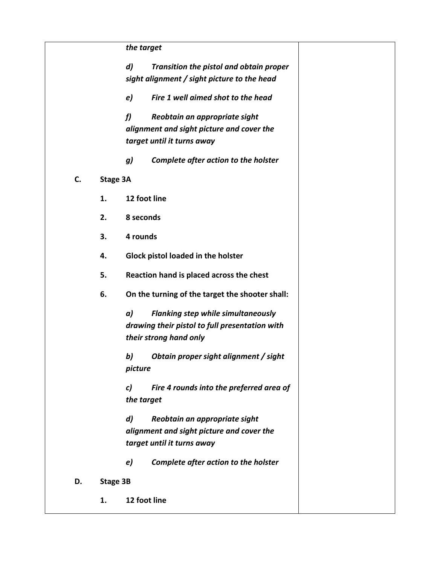|    |          | the target                                                               |  |
|----|----------|--------------------------------------------------------------------------|--|
|    |          | $\boldsymbol{d}$<br>Transition the pistol and obtain proper              |  |
|    |          | sight alignment / sight picture to the head                              |  |
|    |          | Fire 1 well aimed shot to the head<br>e)                                 |  |
|    |          | f<br>Reobtain an appropriate sight                                       |  |
|    |          | alignment and sight picture and cover the                                |  |
|    |          | target until it turns away                                               |  |
|    |          | g)<br>Complete after action to the holster                               |  |
| C. | Stage 3A |                                                                          |  |
|    | 1.       | 12 foot line                                                             |  |
|    | 2.       | 8 seconds                                                                |  |
|    | 3.       | 4 rounds                                                                 |  |
|    | 4.       | Glock pistol loaded in the holster                                       |  |
|    | 5.       | Reaction hand is placed across the chest                                 |  |
|    | 6.       | On the turning of the target the shooter shall:                          |  |
|    |          | a)<br><b>Flanking step while simultaneously</b>                          |  |
|    |          | drawing their pistol to full presentation with<br>their strong hand only |  |
|    |          | b)<br>Obtain proper sight alignment / sight<br>picture                   |  |
|    |          | Fire 4 rounds into the preferred area of<br>c)<br>the target             |  |
|    |          | Reobtain an appropriate sight<br>$\boldsymbol{d}$                        |  |
|    |          | alignment and sight picture and cover the                                |  |
|    |          | target until it turns away                                               |  |
|    |          | Complete after action to the holster<br>e)                               |  |
| D. | Stage 3B |                                                                          |  |
|    | 1.       | 12 foot line                                                             |  |
|    |          |                                                                          |  |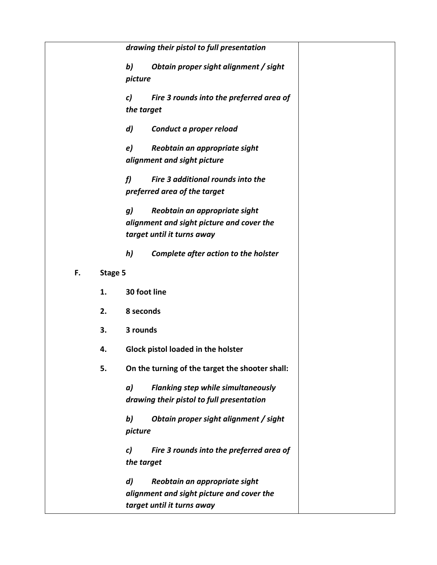|    |         | drawing their pistol to full presentation       |
|----|---------|-------------------------------------------------|
|    |         | b)<br>Obtain proper sight alignment / sight     |
|    |         | picture                                         |
|    |         | Fire 3 rounds into the preferred area of<br>c)  |
|    |         | the target                                      |
|    |         | d)<br>Conduct a proper reload                   |
|    |         | e)<br>Reobtain an appropriate sight             |
|    |         | alignment and sight picture                     |
|    |         | f<br>Fire 3 additional rounds into the          |
|    |         | preferred area of the target                    |
|    |         | Reobtain an appropriate sight<br>g)             |
|    |         | alignment and sight picture and cover the       |
|    |         | target until it turns away                      |
|    |         | h)<br>Complete after action to the holster      |
| F. | Stage 5 |                                                 |
|    | 1.      | 30 foot line                                    |
|    | 2.      | 8 seconds                                       |
|    | 3.      | 3 rounds                                        |
|    | 4.      | Glock pistol loaded in the holster              |
|    | 5.      | On the turning of the target the shooter shall: |
|    |         | <b>Flanking step while simultaneously</b><br>a) |
|    |         | drawing their pistol to full presentation       |
|    |         | b)<br>Obtain proper sight alignment / sight     |
|    |         | picture                                         |
|    |         | Fire 3 rounds into the preferred area of<br>c)  |
|    |         | the target                                      |
|    |         | d)<br>Reobtain an appropriate sight             |
|    |         | alignment and sight picture and cover the       |
|    |         | target until it turns away                      |
|    |         |                                                 |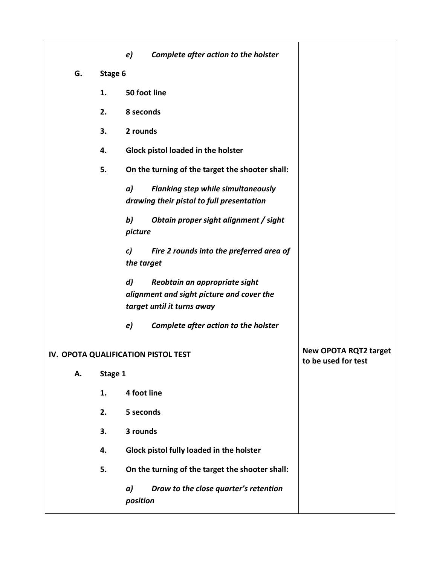|                                     |         | e)               | Complete after action to the holster                                                                     |                                                     |
|-------------------------------------|---------|------------------|----------------------------------------------------------------------------------------------------------|-----------------------------------------------------|
| G.                                  | Stage 6 |                  |                                                                                                          |                                                     |
|                                     | 1.      | 50 foot line     |                                                                                                          |                                                     |
|                                     | 2.      | 8 seconds        |                                                                                                          |                                                     |
|                                     | 3.      | 2 rounds         |                                                                                                          |                                                     |
|                                     | 4.      |                  | Glock pistol loaded in the holster                                                                       |                                                     |
|                                     | 5.      |                  | On the turning of the target the shooter shall:                                                          |                                                     |
|                                     |         | a)               | <b>Flanking step while simultaneously</b><br>drawing their pistol to full presentation                   |                                                     |
|                                     |         | b)<br>picture    | Obtain proper sight alignment / sight                                                                    |                                                     |
|                                     |         | c)<br>the target | Fire 2 rounds into the preferred area of                                                                 |                                                     |
|                                     |         | $\boldsymbol{d}$ | Reobtain an appropriate sight<br>alignment and sight picture and cover the<br>target until it turns away |                                                     |
|                                     |         | e)               | Complete after action to the holster                                                                     |                                                     |
| IV. OPOTA QUALIFICATION PISTOL TEST |         |                  |                                                                                                          | <b>New OPOTA RQT2 target</b><br>to be used for test |
| А.                                  | Stage 1 |                  |                                                                                                          |                                                     |
|                                     | 1.      | 4 foot line      |                                                                                                          |                                                     |
|                                     | 2.      | 5 seconds        |                                                                                                          |                                                     |
|                                     | 3.      | 3 rounds         |                                                                                                          |                                                     |
|                                     | 4.      |                  | Glock pistol fully loaded in the holster                                                                 |                                                     |
|                                     | 5.      |                  | On the turning of the target the shooter shall:                                                          |                                                     |
|                                     |         | a)<br>position   | Draw to the close quarter's retention                                                                    |                                                     |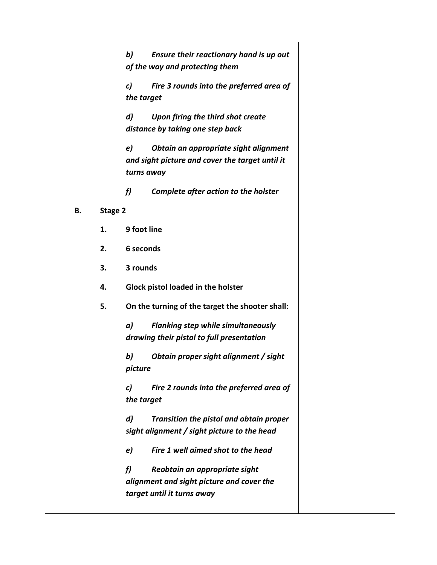|    |         | b)<br>Ensure their reactionary hand is up out<br>of the way and protecting them                                          |  |
|----|---------|--------------------------------------------------------------------------------------------------------------------------|--|
|    |         | Fire 3 rounds into the preferred area of<br>c)<br>the target                                                             |  |
|    |         | d)<br>Upon firing the third shot create<br>distance by taking one step back                                              |  |
|    |         | e)<br>Obtain an appropriate sight alignment<br>and sight picture and cover the target until it<br>turns away             |  |
|    |         | f<br>Complete after action to the holster                                                                                |  |
| В. | Stage 2 |                                                                                                                          |  |
|    | 1.      | 9 foot line                                                                                                              |  |
|    | 2.      | 6 seconds                                                                                                                |  |
|    | 3.      | 3 rounds                                                                                                                 |  |
|    | 4.      | Glock pistol loaded in the holster                                                                                       |  |
|    | 5.      | On the turning of the target the shooter shall:                                                                          |  |
|    |         | <b>Flanking step while simultaneously</b><br>a)<br>drawing their pistol to full presentation                             |  |
|    |         | b)<br>Obtain proper sight alignment / sight<br>picture                                                                   |  |
|    |         | Fire 2 rounds into the preferred area of<br>c)<br>the target                                                             |  |
|    |         | $\boldsymbol{d}$<br>Transition the pistol and obtain proper<br>sight alignment / sight picture to the head               |  |
|    |         | Fire 1 well aimed shot to the head<br>e)                                                                                 |  |
|    |         | $\mathbf{f}$<br>Reobtain an appropriate sight<br>alignment and sight picture and cover the<br>target until it turns away |  |
|    |         |                                                                                                                          |  |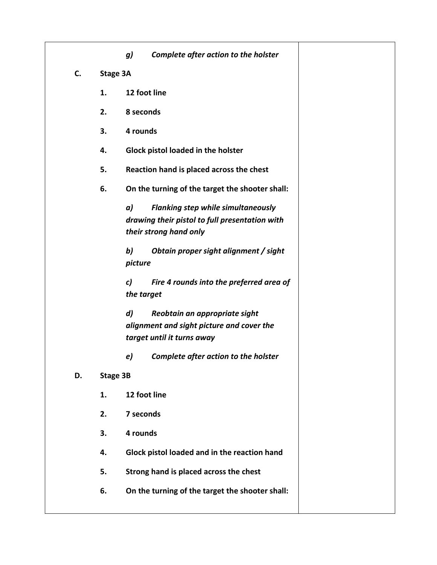|    |          | Complete after action to the holster<br><b>g)</b>                                                                            |
|----|----------|------------------------------------------------------------------------------------------------------------------------------|
| C. | Stage 3A |                                                                                                                              |
|    | 1.       | 12 foot line                                                                                                                 |
|    | 2.       | 8 seconds                                                                                                                    |
|    | 3.       | 4 rounds                                                                                                                     |
|    | 4.       | Glock pistol loaded in the holster                                                                                           |
|    | 5.       | Reaction hand is placed across the chest                                                                                     |
|    | 6.       | On the turning of the target the shooter shall:                                                                              |
|    |          | a)<br><b>Flanking step while simultaneously</b><br>drawing their pistol to full presentation with<br>their strong hand only  |
|    |          | b)<br>Obtain proper sight alignment / sight<br>picture                                                                       |
|    |          | c)<br>Fire 4 rounds into the preferred area of<br>the target                                                                 |
|    |          | $\boldsymbol{d}$<br>Reobtain an appropriate sight<br>alignment and sight picture and cover the<br>target until it turns away |
|    |          | e)<br>Complete after action to the holster                                                                                   |
| D. | Stage 3B |                                                                                                                              |
|    | 1.       | 12 foot line                                                                                                                 |
|    | 2.       | 7 seconds                                                                                                                    |
|    | 3.       | 4 rounds                                                                                                                     |
|    | 4.       | Glock pistol loaded and in the reaction hand                                                                                 |
|    | 5.       | Strong hand is placed across the chest                                                                                       |
|    | 6.       | On the turning of the target the shooter shall:                                                                              |
|    |          |                                                                                                                              |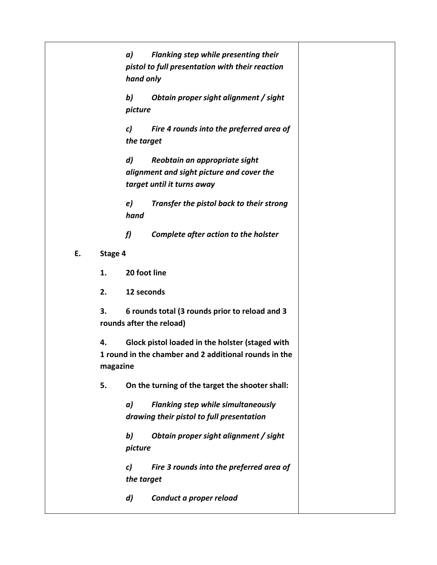|                                                                                                                            | Flanking step while presenting their<br>a)<br>pistol to full presentation with their reaction<br>hand only     |                                          |  |  |  |
|----------------------------------------------------------------------------------------------------------------------------|----------------------------------------------------------------------------------------------------------------|------------------------------------------|--|--|--|
|                                                                                                                            | b)<br>picture                                                                                                  | Obtain proper sight alignment / sight    |  |  |  |
|                                                                                                                            | $\mathcal{C}$<br>Fire 4 rounds into the preferred area of<br>the target                                        |                                          |  |  |  |
|                                                                                                                            | d)<br>Reobtain an appropriate sight<br>alignment and sight picture and cover the<br>target until it turns away |                                          |  |  |  |
|                                                                                                                            | e)<br>hand                                                                                                     | Transfer the pistol back to their strong |  |  |  |
|                                                                                                                            | f                                                                                                              | Complete after action to the holster     |  |  |  |
| Stage 4                                                                                                                    |                                                                                                                |                                          |  |  |  |
| 1.                                                                                                                         | 20 foot line                                                                                                   |                                          |  |  |  |
| 2.                                                                                                                         | 12 seconds                                                                                                     |                                          |  |  |  |
| 3.                                                                                                                         | 6 rounds total (3 rounds prior to reload and 3<br>rounds after the reload)                                     |                                          |  |  |  |
| Glock pistol loaded in the holster (staged with<br>4.<br>1 round in the chamber and 2 additional rounds in the<br>magazine |                                                                                                                |                                          |  |  |  |
| 5.                                                                                                                         | On the turning of the target the shooter shall:                                                                |                                          |  |  |  |
|                                                                                                                            | Flanking step while simultaneously<br>a)<br>drawing their pistol to full presentation                          |                                          |  |  |  |
|                                                                                                                            | b)<br>picture                                                                                                  | Obtain proper sight alignment / sight    |  |  |  |
|                                                                                                                            | c)<br>the target                                                                                               | Fire 3 rounds into the preferred area of |  |  |  |
|                                                                                                                            | d)                                                                                                             | Conduct a proper reload                  |  |  |  |

**E. Stage 4**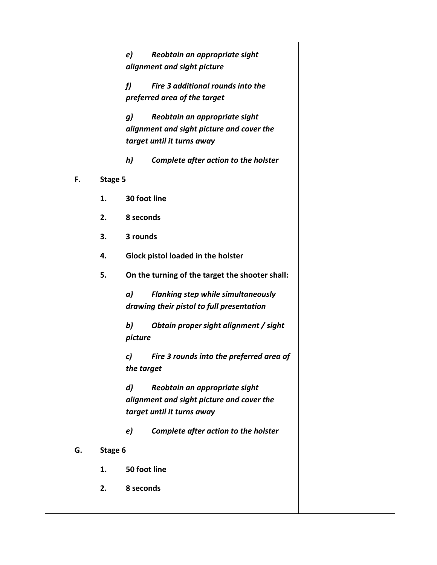|    |         | Reobtain an appropriate sight<br>e)               |  |  |
|----|---------|---------------------------------------------------|--|--|
|    |         | alignment and sight picture                       |  |  |
|    |         | $\mathbf{f}$<br>Fire 3 additional rounds into the |  |  |
|    |         | preferred area of the target                      |  |  |
|    |         | g)<br>Reobtain an appropriate sight               |  |  |
|    |         | alignment and sight picture and cover the         |  |  |
|    |         | target until it turns away                        |  |  |
|    |         | h)<br>Complete after action to the holster        |  |  |
| F. | Stage 5 |                                                   |  |  |
|    | 1.      | 30 foot line                                      |  |  |
|    | 2.      | 8 seconds                                         |  |  |
|    | 3.      | 3 rounds                                          |  |  |
|    | 4.      | Glock pistol loaded in the holster                |  |  |
|    | 5.      | On the turning of the target the shooter shall:   |  |  |
|    |         | a)<br><b>Flanking step while simultaneously</b>   |  |  |
|    |         | drawing their pistol to full presentation         |  |  |
|    |         | b)<br>Obtain proper sight alignment / sight       |  |  |
|    |         | picture                                           |  |  |
|    |         | Fire 3 rounds into the preferred area of<br>c)    |  |  |
|    |         | the target                                        |  |  |
|    |         | Reobtain an appropriate sight<br>$\boldsymbol{d}$ |  |  |
|    |         | alignment and sight picture and cover the         |  |  |
|    |         | target until it turns away                        |  |  |
|    |         | Complete after action to the holster<br>e)        |  |  |
| G. | Stage 6 |                                                   |  |  |
|    | 1.      | 50 foot line                                      |  |  |
|    | 2.      | 8 seconds                                         |  |  |
|    |         |                                                   |  |  |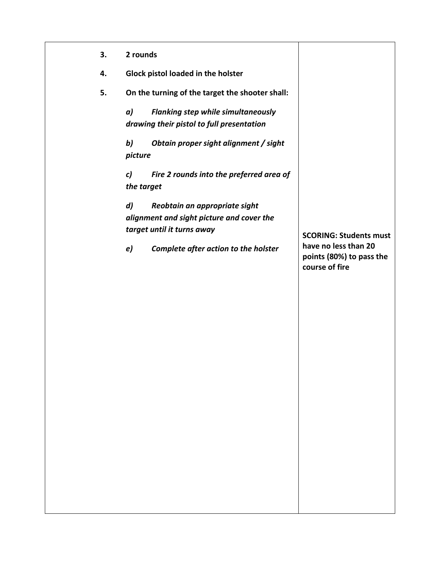| 3. | 2 rounds                                                                                                                                                                   |                                                                                                     |
|----|----------------------------------------------------------------------------------------------------------------------------------------------------------------------------|-----------------------------------------------------------------------------------------------------|
| 4. | Glock pistol loaded in the holster                                                                                                                                         |                                                                                                     |
| 5. | On the turning of the target the shooter shall:                                                                                                                            |                                                                                                     |
|    | a)<br><b>Flanking step while simultaneously</b><br>drawing their pistol to full presentation                                                                               |                                                                                                     |
|    | b)<br>Obtain proper sight alignment / sight<br>picture                                                                                                                     |                                                                                                     |
|    | Fire 2 rounds into the preferred area of<br>c)<br>the target                                                                                                               |                                                                                                     |
|    | $\boldsymbol{d}$<br>Reobtain an appropriate sight<br>alignment and sight picture and cover the<br>target until it turns away<br>e)<br>Complete after action to the holster | <b>SCORING: Students must</b><br>have no less than 20<br>points (80%) to pass the<br>course of fire |
|    |                                                                                                                                                                            |                                                                                                     |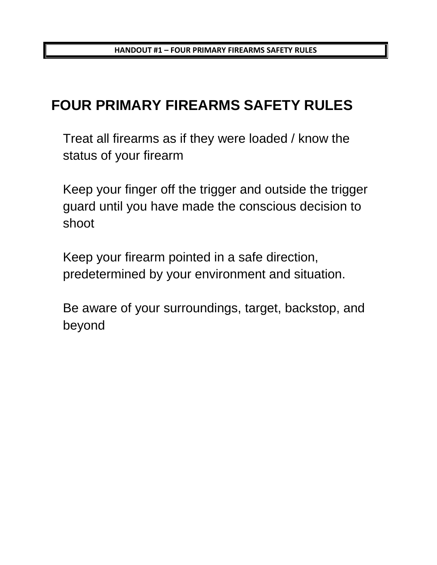**HANDOUT #1 – FOUR PRIMARY FIREARMS SAFETY RULES**

# **FOUR PRIMARY FIREARMS SAFETY RULES**

Treat all firearms as if they were loaded / know the status of your firearm

Keep your finger off the trigger and outside the trigger guard until you have made the conscious decision to shoot

Keep your firearm pointed in a safe direction, predetermined by your environment and situation.

Be aware of your surroundings, target, backstop, and beyond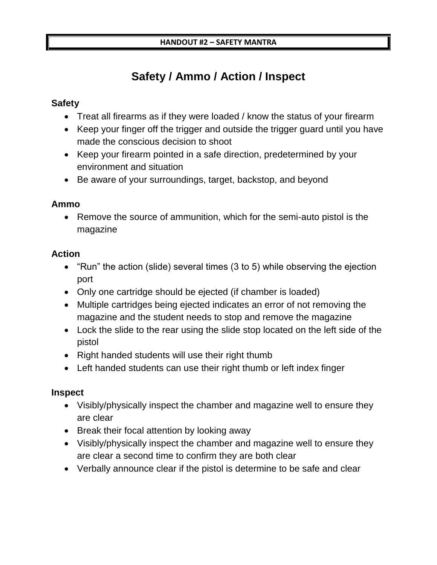## **Safety / Ammo / Action / Inspect**

## **Safety**

- Treat all firearms as if they were loaded / know the status of your firearm
- Keep your finger off the trigger and outside the trigger guard until you have made the conscious decision to shoot
- Keep your firearm pointed in a safe direction, predetermined by your environment and situation
- Be aware of your surroundings, target, backstop, and beyond

## **Ammo**

• Remove the source of ammunition, which for the semi-auto pistol is the magazine

## **Action**

- "Run" the action (slide) several times (3 to 5) while observing the ejection port
- Only one cartridge should be ejected (if chamber is loaded)
- Multiple cartridges being ejected indicates an error of not removing the magazine and the student needs to stop and remove the magazine
- Lock the slide to the rear using the slide stop located on the left side of the pistol
- Right handed students will use their right thumb
- Left handed students can use their right thumb or left index finger

## **Inspect**

- Visibly/physically inspect the chamber and magazine well to ensure they are clear
- Break their focal attention by looking away
- Visibly/physically inspect the chamber and magazine well to ensure they are clear a second time to confirm they are both clear
- Verbally announce clear if the pistol is determine to be safe and clear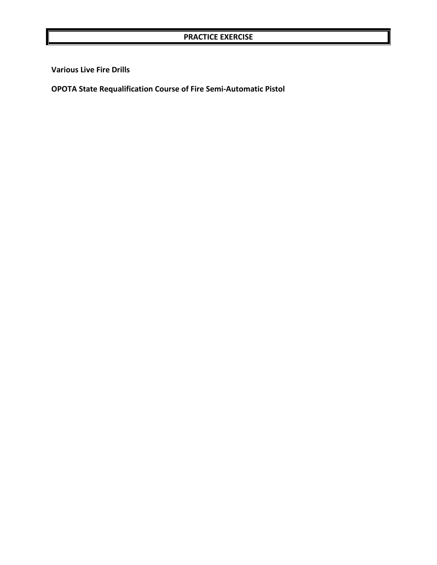**Various Live Fire Drills**

**OPOTA State Requalification Course of Fire Semi-Automatic Pistol**